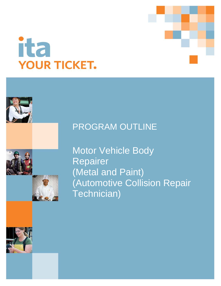

# ita **YOUR TICKET.**

# PROGRAM OUTLINE

Motor Vehicle Body Repairer (Metal and Paint) (Automotive Collision Repair Technician)

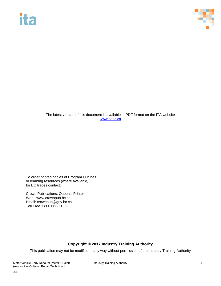# ita



The latest version of this document is available in PDF format on the ITA website [www.itabc.ca](http://www.itabc.ca/)

To order printed copies of Program Outlines or learning resources (where available) for BC trades contact:

Crown Publications, Queen's Printer Web: www.crownpub.bc.ca Email: crownpub@gov.bc.ca Toll Free 1 800 663-6105

### **Copyright © 2017 Industry Training Authority**

This publication may not be modified in any way without permission of the Industry Training Authority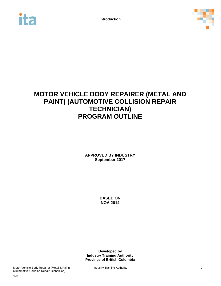



# **MOTOR VEHICLE BODY REPAIRER (METAL AND PAINT) (AUTOMOTIVE COLLISION REPAIR TECHNICIAN) PROGRAM OUTLINE**

**APPROVED BY INDUSTRY September 2017**

> **BASED ON NOA 2014**

**Developed by Industry Training Authority Province of British Columbia**

Motor Vehicle Body Repairer (Metal & Paint) **Industry Training Authority Notice 2** 2 (Automotive Collision Repair Technician)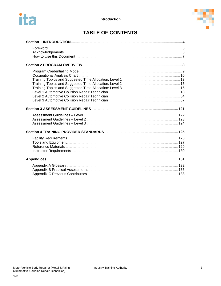



# **TABLE OF CONTENTS**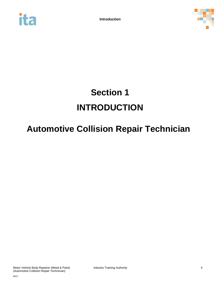<span id="page-4-0"></span>



# **Section 1 INTRODUCTION**

# **Automotive Collision Repair Technician**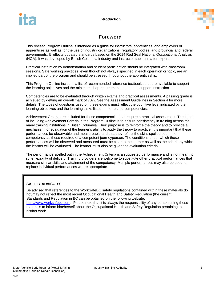

# **Foreword**

<span id="page-5-0"></span>This revised Program Outline is intended as a guide for instructors, apprentices, and employers of apprentices as well as for the use of industry organizations, regulatory bodies, and provincial and federal governments. It reflects updated standards based on the 2014 Red Seal National Occupational Analysis (NOA). It was developed by British Columbia industry and instructor subject matter experts.

Practical instruction by demonstration and student participation should be integrated with classroom sessions. Safe working practices, even though not always specified in each operation or topic, are an implied part of the program and should be stressed throughout the apprenticeship.

This Program Outline includes a list of recommended reference textbooks that are available to support the learning objectives and the minimum shop requirements needed to support instruction.

Competencies are to be evaluated through written exams and practical assessments. A passing grade is achieved by getting an overall mark of 70%. See the Assessment Guidelines in Section 4 for more details. The types of questions used on these exams must reflect the cognitive level indicated by the learning objectives and the learning tasks listed in the related competencies.

Achievement Criteria are included for those competencies that require a practical assessment. The intent of including Achievement Criteria in the Program Outline is to ensure consistency in training across the many training institutions in British Columbia. Their purpose is to reinforce the theory and to provide a mechanism for evaluation of the learner's ability to apply the theory to practice. It is important that these performances be observable and measureable and that they reflect the skills spelled out in the competency as those required of a competent journeyperson. The conditions under which these performances will be observed and measured must be clear to the learner as well as the criteria by which the learner will be evaluated. The learner must also be given the evaluation criteria.

The performance spelled out in the Achievement Criteria is a suggested performance and is not meant to stifle flexibility of delivery. Training providers are welcome to substitute other practical performances that measure similar skills and attainment of the competency. Multiple performances may also be used to replace individual performances where appropriate.

### **SAFETY ADVISORY**

Be advised that references to the WorkSafeBC safety regulations contained within these materials do not/may not reflect the most recent Occupational Health and Safety Regulation (the current Standards and Regulation in BC can be obtained on the following website: [http://www.worksafebc.com.](http://www.worksafebc.com/) Please note that it is always the responsibility of any person using these materials to inform him/herself about the Occupational Health and Safety Regulation pertaining to his/her work.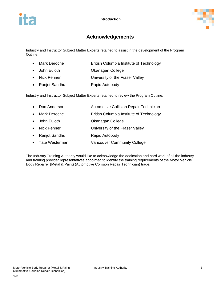

# **Acknowledgements**

<span id="page-6-0"></span>Industry and Instructor Subject Matter Experts retained to assist in the development of the Program Outline:

- Mark Deroche **British Columbia Institute of Technology**
- John Euloth Okanagan College
- Nick Penner University of the Fraser Valley
- Ranjot Sandhu Rapid Autobody

Industry and Instructor Subject Matter Experts retained to review the Program Outline:

- Don Anderson **Automotive Collision Repair Technician** • Mark Deroche British Columbia Institute of Technology
- John Euloth Okanagan College
- Nick Penner **University of the Fraser Valley**
- Ranjot Sandhu Rapid Autobody
- Tate Westerman Vancouver Community College

The Industry Training Authority would like to acknowledge the dedication and hard work of all the industry and training provider representatives appointed to identify the training requirements of the Motor Vehicle Body Repairer (Metal & Paint) (Automotive Collision Repair Technician) trade.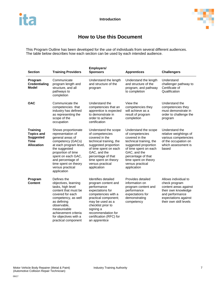

# **How to Use this Document**

<span id="page-7-0"></span>This Program Outline has been developed for the use of individuals from several different audiences. The table below describes how each section can be used by each intended audience.

| <b>Section</b>                                                                        | <b>Training Providers</b>                                                                                                                                                                                                                                | Employers/<br><b>Sponsors</b>                                                                                                                                                                                                                                | <b>Apprentices</b>                                                                                                                                                                                                                     | <b>Challengers</b>                                                                                                                                         |
|---------------------------------------------------------------------------------------|----------------------------------------------------------------------------------------------------------------------------------------------------------------------------------------------------------------------------------------------------------|--------------------------------------------------------------------------------------------------------------------------------------------------------------------------------------------------------------------------------------------------------------|----------------------------------------------------------------------------------------------------------------------------------------------------------------------------------------------------------------------------------------|------------------------------------------------------------------------------------------------------------------------------------------------------------|
| Program<br><b>Credentialing</b><br><b>Model</b>                                       | Communicate<br>program length and<br>structure, and all<br>pathways to<br>completion                                                                                                                                                                     | Understand the length<br>and structure of the<br>program                                                                                                                                                                                                     | Understand the length<br>and structure of the<br>program, and pathway<br>to completion                                                                                                                                                 | Understand<br>challenger pathway to<br>Certificate of<br>Qualification                                                                                     |
| <b>OAC</b>                                                                            | Communicate the<br>competencies that<br>industry has defined<br>as representing the<br>scope of the<br>occupation                                                                                                                                        | Understand the<br>competencies that an<br>apprentice is expected<br>to demonstrate in<br>order to achieve<br>certification                                                                                                                                   | View the<br>competencies they<br>will achieve as a<br>result of program<br>completion                                                                                                                                                  | Understand the<br>competencies they<br>must demonstrate in<br>order to challenge the<br>program                                                            |
| <b>Training</b><br><b>Topics and</b><br><b>Suggested</b><br>Time<br><b>Allocation</b> | Shows proportionate<br>representation of<br>general areas of<br>competency (GACs)<br>at each program level,<br>the suggested<br>proportion of time<br>spent on each GAC,<br>and percentage of<br>time spent on theory<br>versus practical<br>application | Understand the scope<br>of competencies<br>covered in the<br>technical training, the<br>suggested proportion<br>of time spent on each<br>GAC, and the<br>percentage of that<br>time spent on theory<br>versus practical<br>application                       | Understand the scope<br>of competencies<br>covered in the<br>technical training, the<br>suggested proportion<br>of time spent on each<br>GAC, and the<br>percentage of that<br>time spent on theory<br>versus practical<br>application | Understand the<br>relative weightings of<br>various competencies<br>of the occupation on<br>which assessment is<br>based                                   |
| Program<br><b>Content</b>                                                             | Defines the<br>objectives, learning<br>tasks, high level<br>content that must be<br>covered for each<br>competency, as well<br>as defining<br>observable,<br>measureable<br>achievement criteria<br>for objectives with a<br>practical component         | <b>Identifies detailed</b><br>program content and<br>performance<br>expectations for<br>competencies with a<br>practical component;<br>may be used as a<br>checklist prior to<br>signing a<br>recommendation for<br>certification (RFC) for<br>an apprentice | Provides detailed<br>information on<br>program content and<br>performance<br>expectations for<br>demonstrating<br>competency                                                                                                           | Allows individual to<br>check program<br>content areas against<br>their own knowledge<br>and performance<br>expectations against<br>their own skill levels |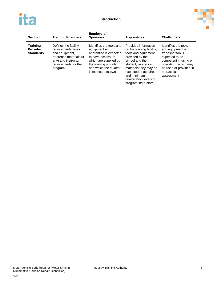



| <b>Section</b>                                         | <b>Training Providers</b>                                                                                                                          | Employers/<br><b>Sponsors</b>                                                                                                                                                             | <b>Apprentices</b>                                                                                                                                                                                                                                    | <b>Challengers</b>                                                                                                                                                                   |
|--------------------------------------------------------|----------------------------------------------------------------------------------------------------------------------------------------------------|-------------------------------------------------------------------------------------------------------------------------------------------------------------------------------------------|-------------------------------------------------------------------------------------------------------------------------------------------------------------------------------------------------------------------------------------------------------|--------------------------------------------------------------------------------------------------------------------------------------------------------------------------------------|
| <b>Training</b><br><b>Provider</b><br><b>Standards</b> | Defines the facility<br>requirements, tools<br>and equipment,<br>reference materials (if<br>any) and instructor<br>requirements for the<br>program | Identifies the tools and<br>equipment an<br>apprentice is expected<br>to have access to:<br>which are supplied by<br>the training provider<br>and which the student<br>is expected to own | Provides information<br>on the training facility,<br>tools and equipment<br>provided by the<br>school and the<br>student, reference<br>materials they may be<br>expected to acquire,<br>and minimum<br>qualification levels of<br>program instructors | Identifies the tools<br>and equipment a<br>tradesperson is<br>expected to be<br>competent in using or<br>operating; which may<br>be used or provided in<br>a practical<br>assessment |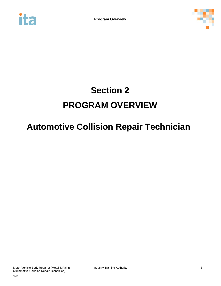<span id="page-9-0"></span>



# **Section 2 PROGRAM OVERVIEW**

# **Automotive Collision Repair Technician**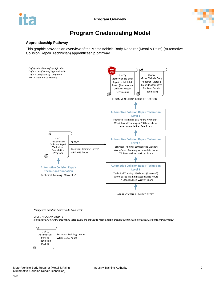

# **Program Credentialing Model**

### <span id="page-10-0"></span>**Apprenticeship Pathway**

This graphic provides an overview of the Motor Vehicle Body Repairer (Metal & Paint) (Automotive Collision Repair Technician) apprenticeship pathway.



*\*Suggested duration based on 30-hour week*

CROSS-PROGRAM CREDITS

*Individuals who hold the credentials listed below are entitled to receive partial credit toward the completion requirements of this program*

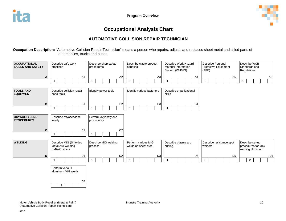

# **Occupational Analysis Chart**

## **AUTOMOTIVE COLLISION REPAIR TECHNICIAN**

**Occupation Description:** "Automotive Collision Repair Technician" means a person who repairs, adjusts and replaces sheet metal and allied parts of automobiles, trucks and buses.

<span id="page-11-0"></span>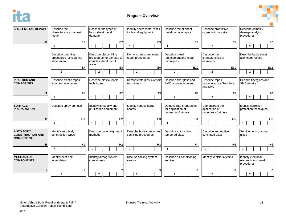

**Program Overview**



| <b>SHEET METAL REPAIR</b>                                        | Describe the<br>characteristics of sheet<br>metal            | Describe the types of<br>basic sheet metal<br>damage                                 | Identify sheet metal repair<br>tools and equipment                                                     | Describe minor sheet<br>metal damage repair                         | Describe productive<br>organizational skills            | Describe complex<br>damage analysis<br>procedures         |
|------------------------------------------------------------------|--------------------------------------------------------------|--------------------------------------------------------------------------------------|--------------------------------------------------------------------------------------------------------|---------------------------------------------------------------------|---------------------------------------------------------|-----------------------------------------------------------|
| Е                                                                | E <sub>1</sub><br>$\overline{1}$                             | E <sub>2</sub><br>$\overline{\mathbf{1}}$                                            | E <sub>3</sub><br>$\overline{1}$                                                                       | E4<br>$\mathbf{1}$                                                  | E <sub>5</sub><br>$\overline{2}$                        | E <sub>6</sub><br>$\overline{2}$                          |
|                                                                  | Describe roughing<br>procedures for repairing<br>sheet metal | Describe plastic filling<br>procedures for damage to<br>complex sheet metal<br>areas | Demonstrate sheet metal<br>Describe panel<br>repair procedures<br>replacement and repair<br>techniques |                                                                     | Describe the<br>characteristics of<br>aluminum          | Describe basic sheet<br>aluminum repairs                  |
|                                                                  | E7<br>$\overline{2}$                                         | E8<br>$\overline{2}$                                                                 | E <sub>9</sub><br>$\overline{2}$                                                                       | E10<br>$\overline{2}$                                               | E11<br>$\overline{2}$                                   | E12<br>$\overline{2}$                                     |
| <b>PLASTICS AND</b><br><b>COMPOSITES</b>                         | Describe plastic repair<br>tools and equipment               | Describe plastic repair<br>techniques                                                | Demonstrate plastic repair<br>techniques                                                               | Describe fiberglass and<br>SMC repair equipment                     | Describe repair<br>procedures for fiberglass<br>and SMC | Perform fiberglass and<br>SMC repairs                     |
| F                                                                | F <sub>1</sub><br>$\overline{\phantom{a}}$                   | F <sub>2</sub>                                                                       | F <sub>3</sub><br>$\overline{1}$                                                                       | F4<br>$\overline{2}$                                                | F <sub>5</sub><br>$\overline{2}$                        | F <sub>6</sub><br>2                                       |
| <b>SURFACE</b><br><b>PREPARATION</b>                             | Describe spray gun use                                       | Identify air supply and<br>purification equipment                                    | Identify various spray<br>booths                                                                       | Demonstrate preparation<br>for application of<br>undercoats/primers | Demonstrate the<br>application of<br>undercoats/primers | Identify corrosion<br>protection techniques               |
| G                                                                | G <sub>1</sub><br>$\overline{1}$                             | G <sub>2</sub><br>$\overline{\mathbf{1}}$                                            | G <sub>3</sub><br>$\overline{1}$                                                                       | G4<br>$\overline{1}$                                                | G <sub>5</sub><br>1                                     | G <sub>6</sub><br>1                                       |
| <b>AUTO BODY</b><br><b>CONSTRUCTION AND</b><br><b>COMPONENTS</b> | Identify auto body<br>construction types                     | Describe panel alignment<br>methods                                                  | Describe body component<br>servicing procedures                                                        | Describe automotive<br>tempered glass                               | Describe automotive<br>laminated glass                  | Service non-structural<br>glass                           |
| н                                                                | H1<br>$\mathbf{1}$                                           | H <sub>2</sub>                                                                       | H <sub>3</sub><br>$\overline{1}$                                                                       | H <sub>4</sub><br>$\overline{1}$                                    | H <sub>5</sub>                                          | H <sub>6</sub><br>$\mathbf{1}$                            |
| <b>MECHANICAL</b><br><b>COMPONENTS</b>                           | Identify seat belt<br>assemblies                             | Identify airbag system<br>components                                                 | Discuss cooling system<br>service                                                                      | Describe air conditioning<br>service                                | Identify vehicle systems                                | Identify electrical/<br>electronic on-board<br>procedures |
|                                                                  |                                                              |                                                                                      |                                                                                                        |                                                                     |                                                         |                                                           |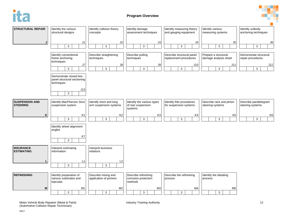



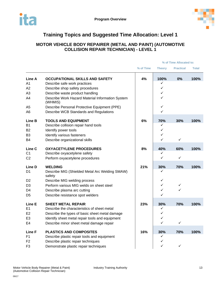

# **Training Topics and Suggested Time Allocation: Level 1**

### <span id="page-14-0"></span>**MOTOR VEHICLE BODY REPAIRER (METAL AND PAINT) (AUTOMOTIVE COLLISION REPAIR TECHNICIAN) - LEVEL 1**

|                |                                                             | % of Time Allocated to: |               |                  |              |  |
|----------------|-------------------------------------------------------------|-------------------------|---------------|------------------|--------------|--|
|                |                                                             | % of Time               | <b>Theory</b> | <b>Practical</b> | <b>Total</b> |  |
| Line A         | <b>OCCUPATIONAL SKILLS AND SAFETY</b>                       | 4%                      | 100%          | 0%               | 100%         |  |
| A <sub>1</sub> | Describe safe work practices                                |                         | ✓             |                  |              |  |
| A2             | Describe shop safety procedures                             |                         | ✓             |                  |              |  |
| A3             | Describe waste product handling                             |                         | ✓             |                  |              |  |
| A4             | Describe Work Hazard Material Information System<br>(WHMIS) |                         | ✓             |                  |              |  |
| A <sub>5</sub> | Describe Personal Protective Equipment (PPE)                |                         | ✓             |                  |              |  |
| A <sub>6</sub> | Describe WCB Standards and Regulations                      |                         | ✓             |                  |              |  |
| Line B         | <b>TOOLS AND EQUIPMENT</b>                                  | 6%                      | 70%           | 30%              | 100%         |  |
| B1             | Describe collision repair hand tools                        |                         | ✓             |                  |              |  |
| <b>B2</b>      | Identify power tools                                        |                         | ✓             |                  |              |  |
| B <sub>3</sub> | Identify various fasteners                                  |                         | ✓             |                  |              |  |
| B4             | Describe organizational skills                              |                         | ✓             | $\checkmark$     |              |  |
| Line C         | <b>OXYACETYLENE PROCEDURES</b>                              | 8%                      | 40%           | 60%              | 100%         |  |
| C <sub>1</sub> | Describe oxyacetylene safety                                |                         | ✓             |                  |              |  |
| C <sub>2</sub> | Perform oxyacetylene procedures                             |                         | ✓             | ✓                |              |  |
| Line D         | <b>WELDING</b>                                              | 21%                     | 30%           | 70%              | 100%         |  |
| D1             | Describe MIG (Shielded Metal Arc Welding SMAW)<br>safety    |                         | ✓             |                  |              |  |
| D <sub>2</sub> | Describe MIG welding process                                |                         | ✓             |                  |              |  |
| D <sub>3</sub> | Perform various MIG welds on sheet steel                    |                         | ✓             | ✓                |              |  |
| D4             | Describe plasma arc cutting                                 |                         | ✓             | ✓                |              |  |
| D <sub>5</sub> | Describe resistance spot welders                            |                         | ✓             |                  |              |  |
| Line E         | <b>SHEET METAL REPAIR</b>                                   | 23%                     | 30%           | 70%              | 100%         |  |
| E1             | Describe the characteristics of sheet metal                 |                         | ✓             |                  |              |  |
| E2             | Describe the types of basic sheet metal damage              |                         | ✓             |                  |              |  |
| E <sub>3</sub> | Identify sheet metal repair tools and equipment             |                         | ✓             |                  |              |  |
| E <sub>4</sub> | Describe minor sheet metal damage repair                    |                         | ✓             | $\checkmark$     |              |  |
| Line F         | <b>PLASTICS AND COMPOSITES</b>                              | 16%                     | 30%           | 70%              | 100%         |  |
| F <sub>1</sub> | Describe plastic repair tools and equipment                 |                         | ✓             |                  |              |  |
| F <sub>2</sub> | Describe plastic repair techniques                          |                         | ✓             |                  |              |  |
| F3             | Demonstrate plastic repair techniques                       |                         | ✓             | $\checkmark$     |              |  |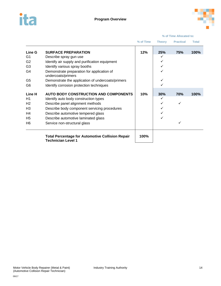



|                |                                                                                      |           | % of Time Allocated to: |                  |              |
|----------------|--------------------------------------------------------------------------------------|-----------|-------------------------|------------------|--------------|
|                |                                                                                      | % of Time | <b>Theory</b>           | <b>Practical</b> | <b>Total</b> |
| <b>Line G</b>  | <b>SURFACE PREPARATION</b>                                                           | 12%       | 25%                     | 75%              | 100%         |
| G1             | Describe spray gun use                                                               |           | ✓                       |                  |              |
| G <sub>2</sub> | Identify air supply and purification equipment                                       |           |                         |                  |              |
| G <sub>3</sub> | Identify various spray booths                                                        |           |                         |                  |              |
| G4             | Demonstrate preparation for application of<br>undercoats/primers                     |           |                         |                  |              |
| G <sub>5</sub> | Demonstrate the application of undercoats/primers                                    |           |                         |                  |              |
| G <sub>6</sub> | Identify corrosion protection techniques                                             |           |                         |                  |              |
| Line H         | AUTO BODY CONSTRUCTION AND COMPONENTS                                                | 10%       | 30%                     | 70%              | 100%         |
| H1             | Identify auto body construction types                                                |           | ✓                       |                  |              |
| H <sub>2</sub> | Describe panel alignment methods                                                     |           |                         | ✓                |              |
| H <sub>3</sub> | Describe body component servicing procedures                                         |           |                         |                  |              |
| H4             | Describe automotive tempered glass                                                   |           |                         |                  |              |
| H <sub>5</sub> | Describe automotive laminated glass                                                  |           | ✓                       |                  |              |
| H <sub>6</sub> | Service non-structural glass                                                         |           |                         |                  |              |
|                | <b>Total Percentage for Automotive Collision Repair</b><br><b>Technician Level 1</b> | 100%      |                         |                  |              |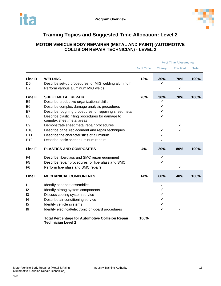

# **Training Topics and Suggested Time Allocation: Level 2**

### <span id="page-16-0"></span>**MOTOR VEHICLE BODY REPAIRER (METAL AND PAINT) (AUTOMOTIVE COLLISION REPAIR TECHNICIAN) - LEVEL 2**

|                          |                                                                                      | % of Time Allocated to: |               |                     |              |
|--------------------------|--------------------------------------------------------------------------------------|-------------------------|---------------|---------------------|--------------|
|                          |                                                                                      | % of Time               | <b>Theory</b> | <b>Practical</b>    | <b>Total</b> |
| Line D<br>D <sub>6</sub> | <b>WELDING</b><br>Describe set-up procedures for MIG welding aluminum                | 12%                     | 30%<br>✓      | 70%<br>$\checkmark$ | 100%         |
| D7                       | Perform various aluminum MIG welds                                                   |                         |               |                     |              |
| Line E                   | <b>SHEET METAL REPAIR</b>                                                            | 70%                     | 30%           | 70%                 | 100%         |
| E <sub>5</sub>           | Describe productive organizational skills                                            |                         | ✓             |                     |              |
| E <sub>6</sub>           | Describe complex damage analysis procedures                                          |                         | ✓             |                     |              |
| E7                       | Describe roughing procedures for repairing sheet metal                               |                         | ✓             |                     |              |
| E <sub>8</sub>           | Describe plastic filling procedures for damage to                                    |                         | ✓             |                     |              |
|                          | complex sheet metal areas                                                            |                         |               |                     |              |
| E <sub>9</sub>           | Demonstrate sheet metal repair procedures                                            |                         |               | ✓                   |              |
| E <sub>10</sub>          | Describe panel replacement and repair techniques                                     |                         | ✓             | ✓                   |              |
| E <sub>11</sub>          | Describe the characteristics of aluminum                                             |                         | ✓             |                     |              |
| E <sub>12</sub>          | Describe basic sheet aluminum repairs                                                |                         | ✓             |                     |              |
| <b>Line F</b>            | <b>PLASTICS AND COMPOSITES</b>                                                       | 4%                      | 20%           | 80%                 | 100%         |
| F4                       | Describe fiberglass and SMC repair equipment                                         |                         | ✓             |                     |              |
| F <sub>5</sub>           | Describe repair procedures for fiberglass and SMC                                    |                         | ✓             |                     |              |
| F <sub>6</sub>           | Perform fiberglass and SMC repairs                                                   |                         |               | ✓                   |              |
| Line I                   | <b>MECHANICAL COMPONENTS</b>                                                         | 14%                     | 60%           | 40%                 | 100%         |
| $\vert$ 1                | Identify seat belt assemblies                                                        |                         | ✓             |                     |              |
| 12                       | Identify airbag system components                                                    |                         | ✓             |                     |              |
| 13                       | Discuss cooling system service                                                       |                         | ✓             |                     |              |
| 14                       | Describe air conditioning service                                                    |                         | ✓             |                     |              |
| 15                       | Identify vehicle systems                                                             |                         | ✓             |                     |              |
| 16                       | Identify electrical/electronic on-board procedures                                   |                         | ✓             | ✓                   |              |
|                          | <b>Total Percentage for Automotive Collision Repair</b><br><b>Technician Level 2</b> | 100%                    |               |                     |              |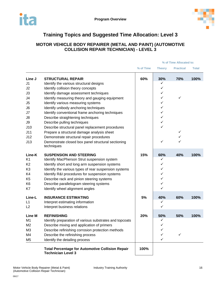

# **Training Topics and Suggested Time Allocation: Level 3**

### <span id="page-17-0"></span>**MOTOR VEHICLE BODY REPAIRER (METAL AND PAINT) (AUTOMOTIVE COLLISION REPAIR TECHNICIAN) - LEVEL 3**

|                |                                                                                      |           | % of Time Allocated to: |                  |              |
|----------------|--------------------------------------------------------------------------------------|-----------|-------------------------|------------------|--------------|
|                |                                                                                      | % of Time | <b>Theory</b>           | <b>Practical</b> | <b>Total</b> |
| Line J         | <b>STRUCTURAL REPAIR</b>                                                             | 60%       | 30%                     | 70%              | 100%         |
| J <sub>1</sub> | Identify the various structural designs                                              |           | ✓                       |                  |              |
| J2             | Identify collision theory concepts                                                   |           | ✓                       |                  |              |
| J3             | Identify damage assessment techniques                                                |           | ✓                       |                  |              |
| J4             | Identify measuring theory and gauging equipment                                      |           | ✓                       | ✓                |              |
| J <sub>5</sub> | Identify various measuring systems                                                   |           | ✓                       |                  |              |
| J <sub>6</sub> | Identify unibody anchoring techniques                                                |           | ✓                       |                  |              |
| J7             | Identify conventional frame anchoring techniques                                     |           | ✓                       |                  |              |
| J8             | Describe straightening techniques                                                    |           | ✓                       |                  |              |
| <b>J9</b>      | Describe pulling techniques                                                          |           | ✓                       |                  |              |
| J10            | Describe structural panel replacement procedures                                     |           | ✓                       |                  |              |
| J11            | Prepare a structural damage analysis sheet                                           |           |                         | ✓                |              |
| J12            | Demonstrate structural repair procedures                                             |           |                         | ✓                |              |
| J13            | Demonstrate closed box panel structural sectioning                                   |           | $\checkmark$            | ✓                |              |
|                | techniques                                                                           |           |                         |                  |              |
| Line-K         | <b>SUSPENSION AND STEERING</b>                                                       | 15%       | 60%                     | 40%              | 100%         |
| K <sub>1</sub> | Identify MacPherson Strut suspension system                                          |           | ✓                       |                  |              |
| K <sub>2</sub> | Identify short and long arm suspension systems                                       |           | ✓                       |                  |              |
| K <sub>3</sub> | Identify the various types of rear suspension systems                                |           | ✓                       |                  |              |
| K4             | Identify R&I procedures for suspension systems                                       |           | ✓                       |                  |              |
| K <sub>5</sub> | Describe rack and pinion steering systems                                            |           | ✓                       |                  |              |
| K <sub>6</sub> | Describe parallelogram steering systems                                              |           | ✓                       |                  |              |
| K7             | Identify wheel alignment angles                                                      |           | ✓                       |                  |              |
| Line-L         | <b>INSURANCE ESTIMATING</b>                                                          | 5%        | 40%                     | 60%              | 100%         |
| L1             | Interpret estimating information                                                     |           | ✓                       |                  |              |
| L2             | Interpret business relations                                                         |           | $\checkmark$            |                  |              |
| <b>Line M</b>  | <b>REFINISHING</b>                                                                   | 20%       | 50%                     | 50%              | 100%         |
| M <sub>1</sub> | Identify preparation of various substrates and topcoats                              |           | ✓                       |                  |              |
| M <sub>2</sub> | Describe mixing and application of primers                                           |           | ✓                       |                  |              |
| M <sub>3</sub> | Describe refinishing corrosion protection methods                                    |           |                         |                  |              |
| M4             | Describe the refinishing process                                                     |           | ✓                       | ✓                |              |
| M <sub>5</sub> | Identify the detailing process                                                       |           | ✓                       |                  |              |
|                | <b>Total Percentage for Automotive Collision Repair</b><br><b>Technician Level 3</b> | 100%      |                         |                  |              |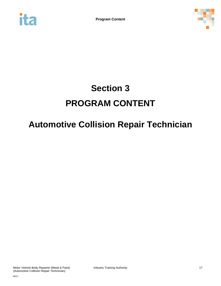



# **Section 3 PROGRAM CONTENT**

# **Automotive Collision Repair Technician**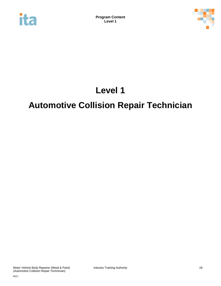<span id="page-19-0"></span>



# **Level 1**

# **Automotive Collision Repair Technician**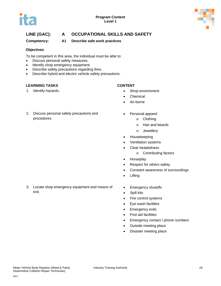

**Competency: A1 Describe safe work practices**

### **Objectives**

To be competent in this area, the individual must be able to:

- Discuss personal safety measures.
- Identify shop emergency equipment.
- Describe safety precautions regarding fires.
- Describe hybrid and electric vehicle safety precautions.

### **LEARNING TASKS CONTENT**

procedures.

exit.

- 1. Identify hazards. **•** Shop environment
	- Chemical
	- Air-borne
	- Personal apparel
		- o Clothing
		- o Hair and beards
		- o Jewellery
		- Housekeeping
		- Ventilation systems
		- Clear headedness
			- o Contributing factors
	- Horseplay
	- Respect for others safety
	- Constant awareness of surroundings
	- Lifting
	- Emergency shutoffs
	- Spill kits
	- Fire control systems
	- Eye wash facilities
	- Emergency exits
	- First aid facilities
	- Emergency contact / phone numbers
	- Outside meeting place
	- Disaster meeting place

3. Locate shop emergency equipment and means of

2. Discuss personal safety precautions and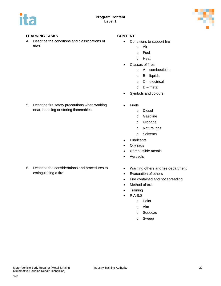

4. Describe the conditions and classifications of fires.

5. Describe fire safety precautions when working near, handling or storing flammables.

- Conditions to support fire
	- o Air
	- o Fuel
	- o Heat
	- Classes of fires
		- $o$   $A$  combustibles
		- $o$  B liquids
		- o C electrical
		- $O metal$
- Symbols and colours
- Fuels
	- o Diesel
	- o Gasoline
	- o Propane
	- o Natural gas
	- o Solvents
- Lubricants
- Oily rags
- Combustible metals
- **Aerosols**
- 6. Describe the considerations and procedures to extinguishing a fire.
- Warning others and fire department
- Evacuation of others
- Fire contained and not spreading
- Method of exit
- Training
- P.A.S.S.
	- o Point
	- o Aim
	- o Squeeze
	- o Sweep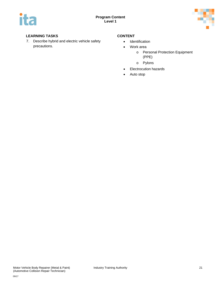

### **LEARNING TASKS CONTENT**

7. Describe hybrid and electric vehicle safety precautions.

- Identification
- Work area
	- o Personal Protection Equipment (PPE)
	- o Pylons
- Electrocution hazards
- Auto stop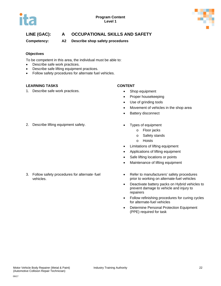



**Competency: A2 Describe shop safety procedures**

### **Objectives**

To be competent in this area, the individual must be able to:

- Describe safe work practices.
- Describe safe lifting equipment practices.
- Follow safety procedures for alternate fuel vehicles.

### **LEARNING TASKS CONTENT**

1. Describe safe work practices. • Shop equipment

- 
- Proper housekeeping
- Use of grinding tools
- Movement of vehicles in the shop area
- **Battery disconnect**
- 2. Describe lifting equipment safety. **•** Types of equipment

3. Follow safety procedures for alternate-fuel vehicles.

- - o Floor jacks
		- o Safety stands
		- o Hoists
- Limitations of lifting equipment
- Applications of lifting equipment
- Safe lifting locations or points
- Maintenance of lifting equipment
- Refer to manufacturers' safety procedures prior to working on alternate‐fuel vehicles
- Deactivate battery packs on Hybrid vehicles to prevent damage to vehicle and injury to repairers
- Follow refinishing procedures for curing cycles for alternate‐fuel vehicles
- Determine Personal Protection Equipment (PPE) required for task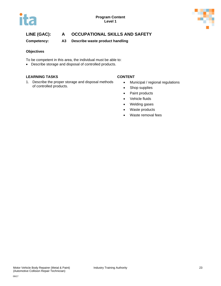

**Competency: A3 Describe waste product handling** 

### **Objectives**

To be competent in this area, the individual must be able to:

• Describe storage and disposal of controlled products.

### **LEARNING TASKS CONTENT**

1. Describe the proper storage and disposal methods of controlled products.

- Municipal / regional regulations
- Shop supplies
- Paint products
- Vehicle fluids
- Welding gases
- Waste products
- Waste removal fees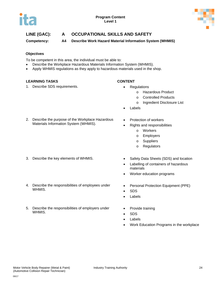

**Competency: A4 Describe Work Hazard Material Information System (WHMIS)**

### **Objectives**

To be competent in this area, the individual must be able to:

- Describe the Workplace Hazardous Materials Information System (WHMIS).
- Apply WHMIS regulations as they apply to hazardous materials used in the shop.

### **LEARNING TASKS CONTENT**

1. Describe SDS requirements. **•** Regulations

- - o Hazardous Product
	- o Controlled Products
	- o Ingredient Disclosure List
- **Labels**
- 2. Describe the purpose of the Workplace Hazardous Materials Information System (WHMIS).

- 
- 4. Describe the responsibilities of employees under WHMIS.
- 5. Describe the responsibilities of employers under WHMIS.
- Protection of workers
- Rights and responsibilities
	- o Workers
	- o Employers
	- o Suppliers
	- o Regulators
- 3. Describe the key elements of WHMIS.  $\bullet$  Safety Data Sheets (SDS) and location
	- Labelling of containers of hazardous materials
	- Worker education programs
	- Personal Protection Equipment (PPE)
	- SDS
	- Labels
	- Provide training
	- SDS
	- **Labels**
	- Work Education Programs in the workplace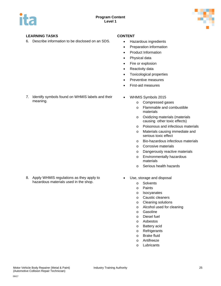

### **LEARNING TASKS CONTENT**

meaning.

6. Describe information to be disclosed on an SDS. • Hazardous ingredients

7. Identify symbols found on WHMIS labels and their

- 
- Preparation information
- Product Information
- Physical data
- Fire or explosion
- Reactivity data
- Toxicological properties
- Preventive measures
- First-aid measures
- WHMIS Symbols 2015
	- o Compressed gases
	- o Flammable and combustible materials
	- o Oxidizing materials (materials causing other toxic effects)
	- o Poisonous and infectious materials
	- o Materials causing immediate and serious toxic effect
	- o Bio-hazardous infectious materials
	- o Corrosive materials
	- o Dangerously reactive materials
	- o Environmentally hazardous materials
	- o Serious health hazards

- 8. Apply WHMIS regulations as they apply to hazardous materials used in the shop.
- Use, storage and disposal
	- o Solvents
	- o Paints
	- o Isocyanates
	- o Caustic cleaners
	- o Cleaning solutions
	- o Alcohol used for cleaning
	- o Gasoline
	- o Diesel fuel
	- o Asbestos
	- o Battery acid
	- o Refrigerants
	- o Brake fluid
	- o Antifreeze
	- o Lubricants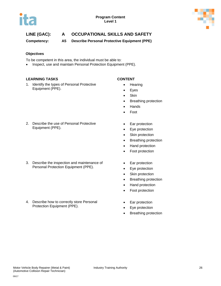

**Competency: A5 Describe Personal Protective Equipment (PPE)**

### **Objectives**

- To be competent in this area, the individual must be able to:
- Inspect, use and maintain Personal Protection Equipment (PPE).

### **LEARNING TASKS CONTENT**

1. Identify the types of Personal Protective Equipment (PPE).

- Hearing
- Eyes
- Skin
- Breathing protection
- Hands
- Foot
- 2. Describe the use of Personal Protective Equipment (PPE).

3. Describe the inspection and maintenance of Personal Protection Equipment (PPE).

4. Describe how to correctly store Personal Protection Equipment (PPE).

- Ear protection
- Eye protection
- Skin protection
- Breathing protection
- Hand protection
- Foot protection
- Ear protection
- Eye protection
- Skin protection
- Breathing protection
- Hand protection
- Foot protection
- Ear protection
- Eye protection
- Breathing protection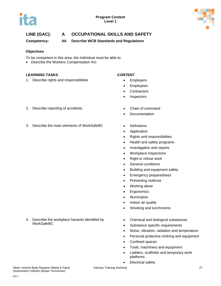



**Competency: A6 Describe WCB Standards and Regulations**

### **Objectives**

To be competent in this area, the individual must be able to:

• Describe the Workers Compensation Act

### **LEARNING TASKS CONTENT**

1. Describe rights and responsibilities **•** Employers

- 
- **Employees**
- **Contractors**
- Inspectors
- 2. Describe reporting of accidents. Chain of command
- 3. Describe the main elements of WorkSafeBC Definitions
- Documentation
	-
	- Application
	- Rights and responsibilities
	- Health and safety programs
	- Investigation and reports
	- Workplace inspections
	- Right to refuse work
	- General conditions
	- Building and equipment safety
	- Emergency preparedness
	- Preventing violence
	- Working alone
	- Ergonomics
	- Illumination
	- Indoor air quality
	- Smoking and lunchrooms
	- Chemical and biological substances
		- Substance specific requirements
		- Noise, vibration, radiation and temperature
		- Personal protective clothing and equipment
		- Confined spaces
		- Tools, machinery and equipment
		- Ladders, scaffolds and temporary work platforms
		- Electrical safety

4. Describe the workplace hazards identified by WorkSafeBC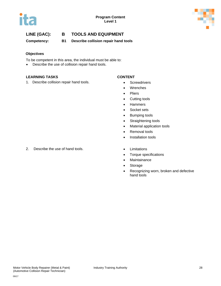



**Competency: B1 Describe collision repair hand tools** 

### **Objectives**

To be competent in this area, the individual must be able to:

• Describe the use of collision repair hand tools.

### **LEARNING TASKS CONTENT**

1. Describe collision repair hand tools. • Screwdrivers

- 
- Wrenches
- Pliers
- Cutting tools
- Hammers
- Socket sets
- Bumping tools
- Straightening tools
- Material application tools
- Removal tools
- Installation tools
- 
- Torque specifications
- Maintainance
- Storage
- Recognizing worn, broken and defective hand tools

### 2. Describe the use of hand tools. • Climitations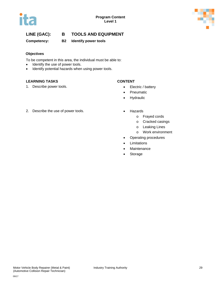



**Competency: B2 Identify power tools**

### **Objectives**

To be competent in this area, the individual must be able to:

- Identify the use of power tools.
- Identify potential hazards when using power tools.

### **LEARNING TASKS CONTENT**

1. Describe power tools. **• Electric / battery** 

- 
- **Pneumatic**
- Hydraulic
- 2. Describe the use of power tools. • Hazards
	- - o Frayed cords
		- o Cracked casings
		- o Leaking Lines
		- o Work environment
	- Operating procedures
	- Limitations
	- **Maintenance**
	- Storage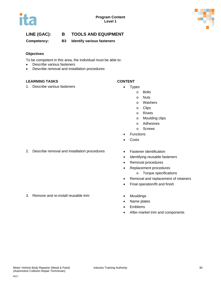



**Competency: B3 Identify various fasteners** 

### **Objectives**

To be competent in this area, the individual must be able to:

- Describe various fasteners
- Describe removal and installation procedures

### **LEARNING TASKS CONTENT**

1. Describe various fasteners **•** Types

- - o Bolts
		- o Nuts
		- o Washers
		- o Clips
		- o Rivets
		- o Moulding clips
		- o Adhesives
		- o Screws
- **Functions**
- **Costs**
- 2. Describe removal and installation procedures Fastener identification
	-
	- Identifying reusable fasteners
	- Removal procedures
	- Replacement procedures
		- o Torque specifications
	- Removal and replacement of retainers
	- Final operation/fit and finish
- 3. Remove and re-install reusable trim **•** Mouldings
	- Name plates
	- Emblems
	- After-market trim and components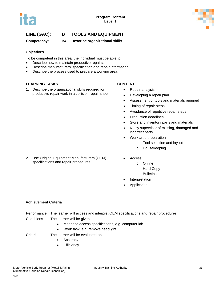

**Competency: B4 Describe organizational skills**

### **Objectives**

To be competent in this area, the individual must be able to:

- Describe how to maintain productive repairs.
- Describe manufacturers' specification and repair information.
- Describe the process used to prepare a working area.

### **LEARNING TASKS CONTENT**

1. Describe the organizational skills required for productive repair work in a collision repair shop.

2. Use Original Equipment Manufacturers (OEM) specifications and repair procedures.

- Repair analysis
- Developing a repair plan
- Assessment of tools and materials required
- Timing of repair steps
- Avoidance of repetitive repair steps
- Production deadlines
- Store and inventory parts and materials
- Notify supervisor of missing, damaged and incorrect parts
- Work area preparation
	- o Tool selection and layout
	- o Housekeeping
- Access
	- o Online
	- o Hard Copy
	- o Bulletins
- **Interpretation**
- **Application**

### **Achievement Criteria**

- Performance The learner will access and interpret OEM specifications and repair procedures. Conditions The learner will be given
	- Means to access specifications, e.g. computer lab
	- Work task, e.g. remove headlight

Criteria The learner will be evaluated on

- Accuracy
- **Efficiency**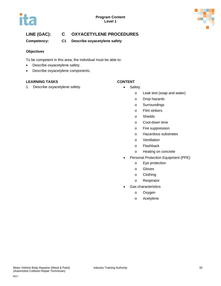



## **LINE (GAC): C OXYACETYLENE PROCEDURES**

**Competency: C1 Describe oxyacetylene safety**

### **Objectives**

To be competent in this area, the individual must be able to:

- Describe oxyacetylene safety.
- Describe oxyacetylene components.

### **LEARNING TASKS CONTENT**

1. Describe oxyacetylene safety. **• Safety • Safety** 

- - o Leak test (soap and water)
	- o Drop hazards
	- o Surroundings
	- o Flint strikers
	- o Shields
	- o Cool-down time
	- o Fire suppression
	- o Hazardous substrates
	- o Ventilation
	- o Flashback
	- o Heating on concrete
- Personal Protection Equipment (PPE)
	- o Eye protection
	- o Gloves
	- o Clothing
	- o Respirator
- Gas characteristics
	- o Oxygen
	- o Acetylene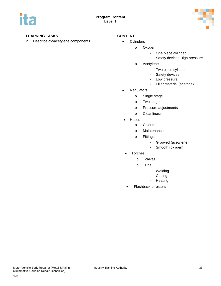

### **LEARNING TASKS CONTENT**

2. Describe oxyacetylene components. • Cylinders

- - o Oxygen
		- One piece cylinder
		- Safety devices High pressure
	- o Acetylene
		- Two piece cylinder
		- Safety devices<br>- Low pressure
		- Low pressure
		- Filler material (acetone)
- Regulators
	- o Single stage
	- o Two stage
	- o Pressure adjustments
	- o Cleanliness
- Hoses
	- o Colours
	- o Maintenance
	- o Fittings
		- Grooved (acetylene)<br>- Smooth (oxvaen)
		- Smooth (oxygen)
- **Torches** 
	- o Valves
	- o Tips
		- Welding
		- Cutting
		- Heating
- Flashback arresters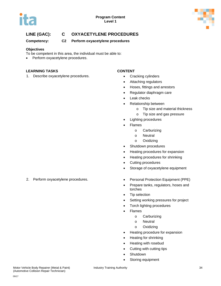



## **LINE (GAC): C OXYACETYLENE PROCEDURES**

**Competency: C2 Perform oxyacetylene procedures**

### **Objectives**

- To be competent in this area, the individual must be able to:
- Perform oxyacetylene procedures.

### **LEARNING TASKS CONTENT**

1. Describe oxyacetylene procedures. • Cracking cylinders

- 
- Attaching regulators
- Hoses, fittings and arrestors
- Regulator diaphragm care
- Leak checks
- Relationship between
	- o Tip size and material thickness
	- o Tip size and gas pressure
- Lighting procedures
- **Flames** 
	- o Carburizing
	- o Neutral
	- o Oxidizing
- Shutdown procedures
- Heating procedures for expansion
- Heating procedures for shrinking
- Cutting procedures
- Storage of oxyacetylene equipment
- 2. Perform oxyacetylene procedures. • Personal Protection Equipment (PPE)
	- Prepare tanks, regulators, hoses and torches
	- Tip selection
	- Setting working pressures for project
	- Torch lighting procedures
	- Flames
		- o Carburizing
		- o Neutral
		- o Oxidizing
	- Heating procedure for expansion
	- Heating for shrinking
	- Heating with rosebud
	- Cutting with cutting tips
	- Shutdown
	- Storing equipment

(Automotive Collision Repair Technician)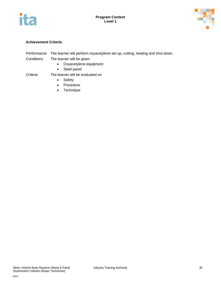



### **Achievement Criteria**

- Performance The learner will perform oxyacetylene set up, cutting, heating and shut down. Conditions The learner will be given
	- Oxyacetylene equipment
	- Steel panel

### Criteria The learner will be evaluated on

- Safety
- Procedure
- Technique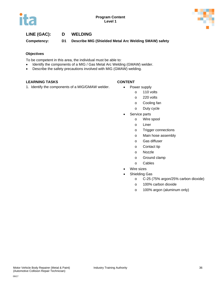

**Competency: D1 Describe MIG (Shielded Metal Arc Welding SMAW) safety**

### **Objectives**

To be competent in this area, the individual must be able to:

- Identify the components of a MIG / Gas Metal Arc Welding (GMAW) welder.
- Describe the safety precautions involved with MIG (GMAW) welding.

### **LEARNING TASKS CONTENT**

1. Identify the components of a MIG/GMAW welder. • Power supply

- - o 110 volts
		- o 220 volts
		- o Cooling fan
		- o Duty cycle
- Service parts
	- o Wire spool
	- o Liner
	- o Trigger connections
	- o Main hose assembly
	- o Gas diffuser
	- o Contact tip
	- o Nozzle
	- o Ground clamp
	- o Cables
- Wire sizes
- Shielding Gas
	- o C-25 (75% argon/25% carbon dioxide)
	- o 100% carbon dioxide
	- o 100% argon (aluminum only)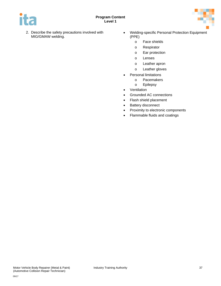

- 2. Describe the safety precautions involved with MIG/GMAW welding.
- Welding-specific Personal Protection Equipment (PPE)
	- o Face shields
	- o Respirator
	- o Ear protection
	- o Lenses
	- o Leather apron
	- o Leather gloves
- Personal limitations
	- o Pacemakers
	- o Epilepsy
- Ventilation
- Grounded AC connections
- Flash shield placement
- Battery disconnect
- Proximity to electronic components
- Flammable fluids and coatings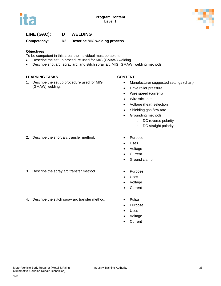



**Competency: D2 Describe MIG welding process**

#### **Objectives**

To be competent in this area, the individual must be able to:

- Describe the set up procedure used for MIG (GMAW) welding.
- Describe shot arc, spray arc, and stitch spray arc MIG (GMAW) welding methods.

#### **LEARNING TASKS CONTENT**

1. Describe the set up procedure used for MIG (GMAW) welding.

- Manufacturer suggested settings (chart)
- Drive roller pressure
- Wire speed (current)
- Wire stick out
- Voltage (heat) selection
- Shielding gas flow rate
- Grounding methods
	- o DC reverse polarity
	- o DC straight polarity
- 2. Describe the short arc transfer method. Purpose
- 
- 3. Describe the spray arc transfer method. Purpose
	- Uses

• Uses • Voltage • Current

• Voltage

• Ground clamp

- Current
- 4. Describe the stitch spray arc transfer method. Pulse
	-
	- Purpose
	- **Uses**
	- Voltage
	- **Current**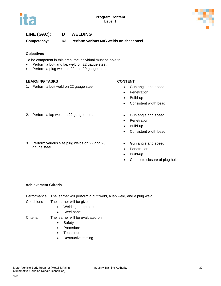



**Competency: D3 Perform various MIG welds on sheet steel**

### **Objectives**

To be competent in this area, the individual must be able to:

- Perform a butt and lap weld on 22 gauge steel.
- Perform a plug weld on 22 and 20 gauge steel.

### **LEARNING TASKS CONTENT**

1. Perform a butt weld on 22 gauge steel. • Gun angle and speed

- 
- **Penetration**
- Build-up
- Consistent width bead
- 2. Perform a lap weld on 22 gauge steel. Gun angle and speed
	- Penetration
	- Build-up
	- Consistent width bead
	- Gun angle and speed
		- Penetration
		- Build-up
		- Complete closure of plug hole

#### **Achievement Criteria**

gauge steel.

Performance The learner will perform a butt weld, a lap weld, and a plug weld. Conditions The learner will be given

- Welding equipment
	-
	- Steel panel
- Criteria The learner will be evaluated on
	- Safety
	- Procedure
	- Technique
	- Destructive testing

# 3. Perform various size plug welds on 22 and 20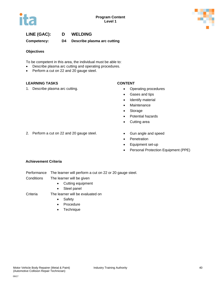



**Competency: D4 Describe plasma arc cutting**

#### **Objectives**

To be competent in this area, the individual must be able to:

- Describe plasma arc cutting and operating procedures.
- Perform a cut on 22 and 20 gauge steel.

### **LEARNING TASKS CONTENT**

1. Describe plasma arc cutting. **•** Operating procedures

- 
- Gases and tips
- Identify material
- Maintenance
- Storage
- Potential hazards
- Cutting area
- 2. Perform a cut on 22 and 20 gauge steel. Gun angle and speed
	-
	- Penetration
	- Equipment set-up
	- Personal Protection Equipment (PPE)

#### **Achievement Criteria**

- Performance The learner will perform a cut on 22 or 20 gauge steel.
- Conditions The learner will be given
	- Cutting equipment
	- Steel panel

### Criteria The learner will be evaluated on

- Safety
- Procedure
- Technique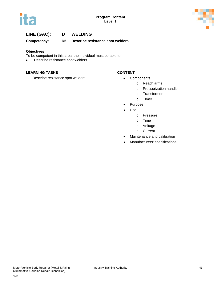



**Competency: D5 Describe resistance spot welders**

#### **Objectives**

To be competent in this area, the individual must be able to:

• Describe resistance spot welders.

#### **LEARNING TASKS CONTENT**

1. Describe resistance spot welders. • Components

- - o Reach arms
	- o Pressurization handle
	- o Transformer
	- o Timer
- Purpose
- Use
	- o Pressure
	- o Time
	- o Voltage
	- o Current
- Maintenance and calibration
- Manufacturers' specifications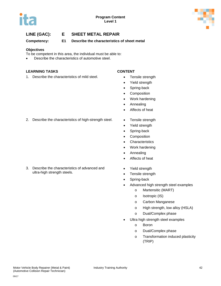



**Competency: E1 Describe the characteristics of sheet metal**

#### **Objectives**

To be competent in this area, the individual must be able to:

• Describe the characteristics of automotive steel.

### **LEARNING TASKS CONTENT**

1. Describe the characteristics of mild steel. • Tensile strength

- 
- Yield strength
- Spring-back
- Composition
- Work hardening
- Annealing
- Affects of heat
- 2. Describe the characteristics of high-strength steel. Tensile strength

3. Describe the characteristics of advanced and

ultra-high strength steels.

- 
- Yield strength
- Spring-back
- Composition
- Characteristics
- Work hardening
- Annealing
- Affects of heat
- Yield strength
- Tensile strength
- Spring-back
- Advanced high strength steel examples
	- o Martensitic (MART)
	- o Isotropic (IS)
	- o Carbon Manganese
	- o High strength, low alloy (HSLA)
	- o Dual/Complex phase
- Ultra high strength steel examples
	- o Boron
	- o Dual/Complex phase
	- o Transformation induced plasticity (TRIP)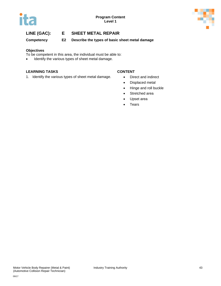



**Competency E2 Describe the types of basic sheet metal damage**

#### **Objectives**

To be competent in this area, the individual must be able to:

• Identify the various types of sheet metal damage.

### **LEARNING TASKS CONTENT**

1. Identify the various types of sheet metal damage. • Direct and indirect

- 
- Displaced metal
- Hinge and roll buckle
- Stretched area
- Upset area
- Tears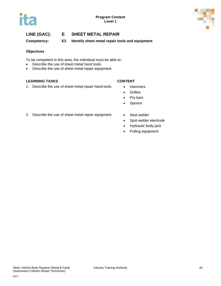

**Competency: E3 Identify sheet metal repair tools and equipment**

### **Objectives**

To be competent in this area, the individual must be able to:

- Describe the use of sheet metal hand tools.
- Describe the use of sheet metal repair equipment.

### **LEARNING TASKS CONTENT**

1. Describe the use of sheet metal repair hand tools. • Hammers

- 
- Dollies
- Pry bars
- Spoons
- 2. Describe the use of sheet metal repair equipment. Stud welder
	-
	- Spot welder electrode
	- Hydraulic body jack
	- Pulling equipment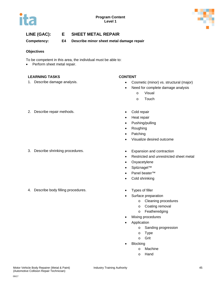



**Competency: E4 Describe minor sheet metal damage repair**

#### **Objectives**

To be competent in this area, the individual must be able to:

• Perform sheet metal repair.

#### **LEARNING TASKS CONTENT**

- 1. Describe damage analysis. Cosmetic (minor) vs. structural (major)
	- Need for complete damage analysis
		- o Visual
		- o Touch
- 2. Describe repair methods. **•** Cold repair

3. Describe shrinking procedures. • Expansion and contraction

4. Describe body filling procedures. • Types of filler

- 
- Heat repair
- Pushing/pulling
- Roughing
- **Patching**
- Visualize desired outcome
- 
- Restricted and unrestricted sheet metal
- Oxyacetylene
- Spitznagel™
- Panel beater™
- Cold shrinking
- 
- Surface preparation
	- o Cleaning procedures
	- o Coating removal
	- o Featheredging
- Mixing procedures
- **Application** 
	- o Sanding progression
	- o Type
	- o Grit
- Blocking
	- o Machine
		- o Hand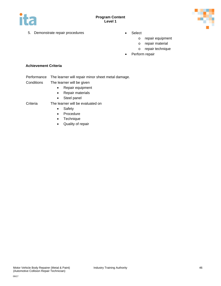



- 5. Demonstrate repair procedures Select
	- - o repair equipment
		- o repair material
		- o repair technique
	- Perform repair

#### **Achievement Criteria**

- Performance The learner will repair minor sheet metal damage.
- Conditions The learner will be given
	- Repair equipment
	- Repair materials
	- Steel panel

### Criteria The learner will be evaluated on

- Safety
- Procedure
- Technique
- Quality of repair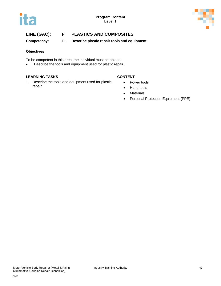



# **LINE (GAC): F PLASTICS AND COMPOSITES**

**Competency: F1 Describe plastic repair tools and equipment**

#### **Objectives**

To be competent in this area, the individual must be able to:

• Describe the tools and equipment used for plastic repair.

#### **LEARNING TASKS CONTENT**

1. Describe the tools and equipment used for plastic repair.

- Power tools
- Hand tools
- Materials
- Personal Protection Equipment (PPE)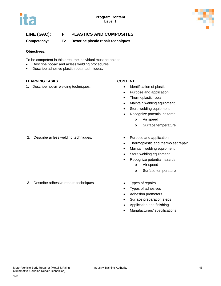



# **LINE (GAC): F PLASTICS AND COMPOSITES**

**Competency: F2 Describe plastic repair techniques**

#### **Objectives:**

To be competent in this area, the individual must be able to:

- Describe hot-air and airless welding procedures.
- Describe adhesive plastic repair techniques.

### **LEARNING TASKS CONTENT**

1. Describe hot-air welding techniques. • Identification of plastic

- 
- Purpose and application
- Thermoplastic repair
- Maintain welding equipment
- Store welding equipment
- Recognize potential hazards
	- o Air speed
	- o Surface temperature
- 2. Describe airless welding techniques. • Purpose and application
- - Thermoplastic and thermo set repair
	- Maintain welding equipment
	- Store welding equipment
	- Recognize potential hazards
		- o Air speed
		- o Surface temperature
- 3. Describe adhesive repairs techniques. Types of repairs
	-
	- Types of adhesives
	- Adhesion promoters
	- Surface preparation steps
	- Application and finishing
	- Manufacturers' specifications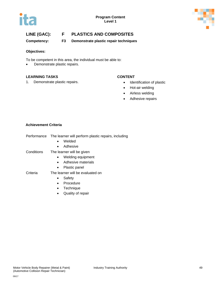



# **LINE (GAC): F PLASTICS AND COMPOSITES**

**Competency: F3 Demonstrate plastic repair techniques**

#### **Objectives:**

To be competent in this area, the individual must be able to:

• Demonstrate plastic repairs.

### **LEARNING TASKS CONTENT**

1. Demonstrate plastic repairs. • Identification of plastic

- 
- Hot-air welding
- Airless welding
- Adhesive repairs

### **Achievement Criteria**

| Performance |  | The learner will perform plastic repairs, including |  |
|-------------|--|-----------------------------------------------------|--|
|             |  |                                                     |  |

- Welded
- Adhesive
- Conditions The learner will be given
	- Welding equipment
	- Adhesive materials
	- Plastic panel
- Criteria The learner will be evaluated on
	- Safety
	- Procedure
	- Technique
	- Quality of repair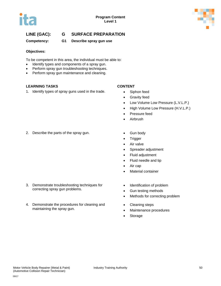



**Competency: G1 Describe spray gun use**

#### **Objectives:**

To be competent in this area, the individual must be able to:

- Identify types and components of a spray gun.
- Perform spray gun troubleshooting techniques.
- Perform spray gun maintenance and cleaning.

### **LEARNING TASKS CONTENT**

1. Identify types of spray guns used in the trade. • Siphon feed

- 
- Gravity feed
- Low Volume Low Pressure (L.V.L.P.)
- High Volume Low Pressure (H.V.L.P.)
- Pressure feed
- Airbrush
- 2. Describe the parts of the spray gun. Gun body

- 3. Demonstrate troubleshooting techniques for correcting spray gun problems.
- 4. Demonstrate the procedures for cleaning and maintaining the spray gun.
- 
- Trigger
- Air valve
- Spreader adjustment
- Fluid adjustment
- Fluid needle and tip
- Air cap
- Material container
- Identification of problem
- Gun testing methods
- Methods for correcting problem
- Cleaning steps
- Maintenance procedures
- **Storage**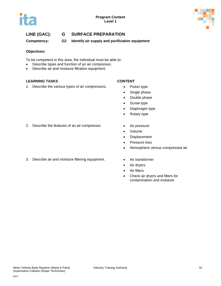

**Competency: G2 Identify air supply and purification equipment**

#### **Objectives:**

To be competent in this area, the individual must be able to:

- Describe types and function of an air compressor.
- Describe air and moisture filtration equipment.

### **LEARNING TASKS CONTENT**

1. Describe the various types of air compressors. • Piston type

- 
- Single phase
- Double phase
- Screw type
- Diaphragm type
- Rotary type
- 2. Describe the features of an air compressor. Air pressure
	-
	- Volume
	- Displacement
	- Pressure loss
	- Atmospheric versus compressed air
- 3. Describe air and moisture filtering equipment. Air transformer
	-
	- Air dryers
	- Air filters
	- Check air dryers and filters for contamination and moisture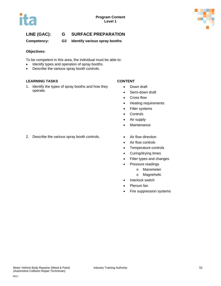



**Competency: G3 Identify various spray booths**

#### **Objectives:**

To be competent in this area, the individual must be able to:

- Identify types and operation of spray booths.
- Describe the various spray booth controls.

### **LEARNING TASKS CONTENT**

1. Identify the types of spray booths and how they operate.

- Down draft
- Semi-down draft
- Cross flow
- Heating requirements
- Filter systems
- Controls
- Air supply
- Maintenance
- 2. Describe the various spray booth controls. Air flow direction
- - Air flow controls
	- Temperature controls
	- Curing/drying times
	- Filter types and changes
	- Pressure readings
		- o Manometer
		- o Magnehelic
	- Interlock switch
	- Plenum fan
	- Fire suppression systems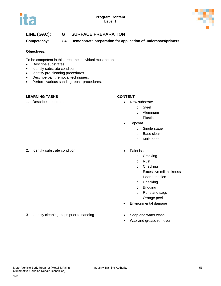



**Competency: G4 Demonstrate preparation for application of undercoats/primers** 

#### **Objectives:**

To be competent in this area, the individual must be able to:

- Describe substrates.
- Identify substrate condition.
- Identify pre-cleaning procedures.
- Describe paint removal techniques.
- Perform various sanding repair procedures.

#### **LEARNING TASKS CONTENT**

1. Describe substrates. • Contract the Second Contract of the Raw substrate

- - o Steel
	- o Aluminum
	- o Plastics
- **Topcoat** 
	- o Single stage
	- o Base clear
	- o Multi-coat
- 2. Identify substrate condition.  $\bullet$  Paint issues
	- o Cracking
	- o Rust
	- o Checking
	- o Excessive mil thickness
	- o Poor adhesion
	- o Checking
	- o Bridging
	- o Runs and sags
	- o Orange peel
	- Environmental damage
	- - Wax and grease remover
- 3. Identify cleaning steps prior to sanding. Soap and water wash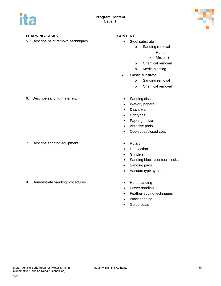

### **LEARNING TASKS CONTENT**

5. Describe paint removal techniques. • Steel substrate

- - o Sanding removal
		- Hand
		- **Machine**
	- o Chemical removal
	- o Media blasting
- Plastic substrate
	- o Sanding removal
	- o Chemical removal
- 6. Describe sanding materials. Sanding discs

7. Describe sanding equipment. • Contact Contact Contact Contact Contact Contact Contact Contact Contact Contact Contact Contact Contact Contact Contact Contact Contact Contact Contact Contact Contact Contact Contact Conta

8. Demonstrate sanding procedures. • Transfer between the Hand sanding

- 
- Wet/dry papers
- Disc sizes
- Grit types
- Paper grit size
- Abrasive pads
- Open coat/closed coat
- 
- Dual action
- Grinders
- Sanding blocks/contour blocks
- Sanding pads
- Vacuum type system
- 
- Power sanding
- Feather-edging techniques
- Block sanding
- Guide coats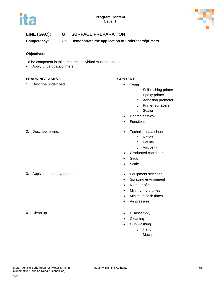



**Competency: G5 Demonstrate the application of undercoats/primers**

#### **Objectives:**

To be competent in this area, the individual must be able to:

• Apply undercoats/primers.

### **LEARNING TASKS CONTENT**

1. Describe undercoats. **•** Types

- - o Self-etching primer
	- o Epoxy primer
	- o Adhesion promoter
	- o Primer surfacers
	- o Sealer
- **Characteristics**
- **Functions**
- 2. Describe mixing. Technical data sheet
	- o Ratios
	- o Pot life
	- o Viscosity
	- Graduated container
	- Stick
	- Scale
- 3. Apply undercoats/primers. Equipment selection
	- Spraying environment
	- Number of coats
	- Minimum dry times
	- Minimum flash times
	- Air pressure
- 4. Clean up  **Disassembly** 
	- **Cleaning**
	- Gun washing
		- o Hand
		- o Machine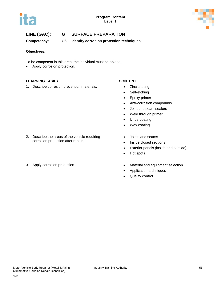



**Competency: G6 Identify corrosion protection techniques**

#### **Objectives:**

To be competent in this area, the individual must be able to:

• Apply corrosion protection.

### **LEARNING TASKS CONTENT**

1. Describe corrosion prevention materials. • Zinc coating

- 
- Self-etching
- Epoxy primer
- Anti-corrosion compounds
- Joint and seam sealers
- Weld through primer
- Undercoating
- Wax coating
- Joints and seams
- Inside closed sections
- Exterior panels (inside and outside)
- Hot spots
- 3. Apply corrosion protection. **•** Material and equipment selection
	- Application techniques
	- Quality control

2. Describe the areas of the vehicle requiring corrosion protection after repair.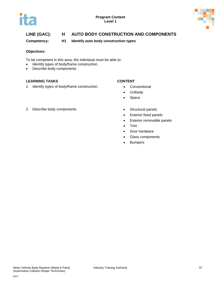



**Competency: H1 Identify auto body construction types**

#### **Objectives:**

To be competent in this area, the individual must be able to:

- Identify types of body/frame construction.
- Describe body components.

### **LEARNING TASKS CONTENT**

1. Identify types of body/frame construction. • Conventional

- 
- Unibody
- Space
- 2. Describe body components. **•** Structural panels
- - Exterior fixed panels
	- Exterior removable panels
	- Trim
	- Door hardware
	- Glass components
	- Bumpers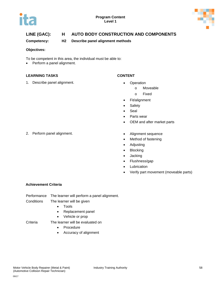



**Competency: H2 Describe panel alignment methods** 

#### **Objectives:**

To be competent in this area, the individual must be able to:

• Perform a panel alignment.

#### **LEARNING TASKS CONTENT**

1. Describe panel alignment. **•** Operation

- - o Moveable
	- o Fixed
- Fit/alignment
- Safety
- Seal
- Parts wear
- OEM and after market parts
- 2. Perform panel alignment. **•** Alignment sequence
- - Method of fastening
	- Adjusting
	- Blocking
	- Jacking
	- Flushness/gap
	- **Lubrication**
	- Verify part movement (moveable parts)

### **Achievement Criteria**

| Performance | The learner will perform a panel alignment. |
|-------------|---------------------------------------------|
|             |                                             |

- Conditions The learner will be given
	- Tools
	- Replacement panel
	- Vehicle or prop
- Criteria The learner will be evaluated on
	- Procedure
	- Accuracy of alignment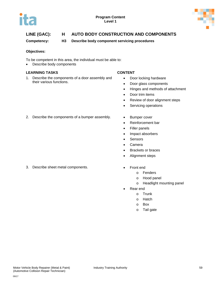



**Competency: H3 Describe body component servicing procedures**

#### **Objectives:**

To be competent in this area, the individual must be able to:

• Describe body components

### **LEARNING TASKS CONTENT**

1. Describe the components of a door assembly and their various functions.

- Door locking hardware
- Door glass components
- Hinges and methods of attachment
- Door trim items
- Review of door alignment steps
- Servicing operations
- 2. Describe the components of a bumper assembly. Bumper cover
	-
	- Reinforcement bar
	- Filler panels
	- Impact absorbers
	- Sensors
	- Camera
	- Brackets or braces
	- Alignment steps
- 3. Describe sheet metal components. Front end
	- - o Fenders
		- o Hood panel
		- o Headlight mounting panel
	- Rear end
		- o Trunk
		- o Hatch
		- o Box
		- o Tail gate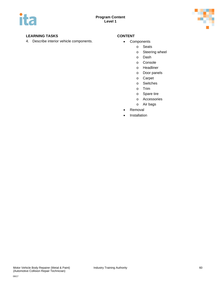

### **LEARNING TASKS CONTENT**

4. Describe interior vehicle components. <br>
• Components

- - o Seats
	- o Steering wheel
	- o Dash
	- o Console
	- o Headliner
	- o Door panels
	- o Carpet
	- o Switches
	- o Trim
	- o Spare tire
	- o Accessories
	- o Air bags
	- **Removal**
	- **Installation**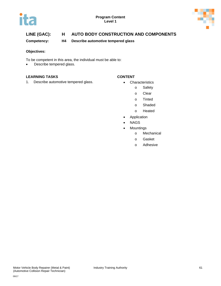



**Competency: H4 Describe automotive tempered glass**

#### **Objectives:**

To be competent in this area, the individual must be able to:

• Describe tempered glass.

#### **LEARNING TASKS CONTENT**

1. Describe automotive tempered glass. • Characteristics

- - o Safety
		- o Clear
		- o Tinted
		- o Shaded
		- o Heated
	- **Application**
- NAGS
- Mountings
	- o Mechanical
	- o Gasket
	- o Adhesive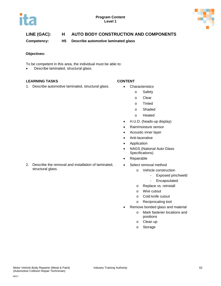



**Competency: H5 Describe automotive laminated glass**

#### **Objectives:**

To be competent in this area, the individual must be able to:

• Describe laminated, structural glass.

#### **LEARNING TASKS CONTENT**

1. Describe automotive laminated, structural glass. • Characteristics

- - o Safety
		- o Clear
	- o Tinted
	- o Shaded
	- o Heated
- H.U.D. (heads-up display)
- Rain/moisture sensor
- Acoustic inner layer
- Anti-lacerative
- Application
- NAGS (National Auto Glass Specifications)
- Repairable
- Select removal method
	- o Vehicle construction
		- Exposed pinchweld
		- Encapsulated
	- o Replace vs. reinstall
	- o Wire cutout
	- o Cold knife cutout
	- o Reciprocating tool
- Remove bonded glass and material
	- o Mark fastener locations and positions
	- o Clean up
	- o Storage

2. Describe the removal and installation of laminated, structural glass.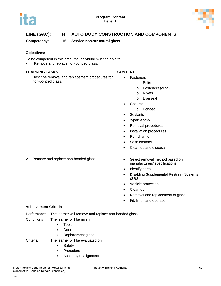



**Competency: H6 Service non-structural glass**

#### **Objectives:**

- To be competent in this area, the individual must be able to:
- Remove and replace non-bonded glass.

#### **LEARNING TASKS CONTENT**

1. Describe removal and replacement procedures for non-bonded glass.

- Fasteners
	- o Bolts
	- o Fasteners (clips)
	- o Rivets
	- o Everseal
- **Gaskets** 
	- o Bonded
- Sealants
- 2-part epoxy
- Removal procedures
- Installation procedures
- Run channel
- Sash channel
- Clean up and disposal
- 2. Remove and replace non-bonded glass. The Select removal method based on
- manufacturers' specifications
	- Identify parts
	- Disabling Supplemental Restraint Systems (SRS)
	- Vehicle protection
	- Clean up
	- Removal and replacement of glass
	- Fit, finish and operation

#### **Achievement Criteria**

| Performance The learner will remove and replace non-bonded glass. |  |
|-------------------------------------------------------------------|--|
|                                                                   |  |

- Conditions The learner will be given
	- Tools
		- Door
		- Replacement glass

Criteria The learner will be evaluated on

- Safety
- Procedure
- Accuracy of alignment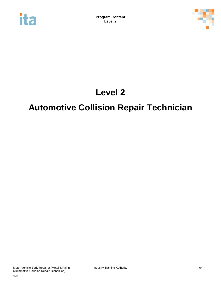



# **Level 2**

# **Automotive Collision Repair Technician**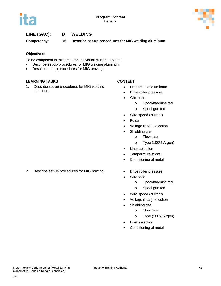



**Competency: D6 Describe set-up procedures for MIG welding aluminum**

#### **Objectives:**

To be competent in this area, the individual must be able to:

- Describe set-up procedures for MIG welding aluminum.
- Describe set-up procedures for MIG brazing.

#### **LEARNING TASKS CONTENT**

1. Describe set-up procedures for MIG welding aluminum.

- Properties of aluminum
- Drive roller pressure
- Wire feed
	- o Spool/machine fed
	- o Spool gun fed
- Wire speed (current)
- Pulse
- Voltage (heat) selection
- Shielding gas
	- o Flow rate
	- o Type (100% Argon)
- Liner selection
- Temperature sticks
- Conditioning of metal
- 2. Describe set-up procedures for MIG brazing. • Drive roller pressure
	-
	- Wire feed
		- o Spool/machine fed
		- o Spool gun fed
	- Wire speed (current)
	- Voltage (heat) selection
	- Shielding gas
		- o Flow rate
		- o Type (100% Argon)
	- Liner selection
	- Conditioning of metal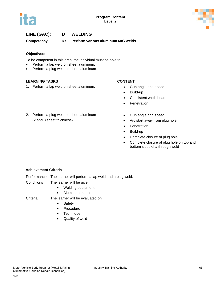



**Competency D7 Perform various aluminum MIG welds**

### **Objectives:**

To be competent in this area, the individual must be able to:

- Perform a lap weld on sheet aluminum.
- Perform a plug weld on sheet aluminum.

### **LEARNING TASKS CONTENT**

1. Perform a lap weld on sheet aluminum. • Gun angle and speed

2. Perform a plug weld on sheet aluminum

(2 and 3 sheet thickness).

- 
- Build-up
- Consistent width bead
- Penetration
- Gun angle and speed
- Arc start away from plug hole
- Penetration
- Build-up
- Complete closure of plug hole
- Complete closure of plug hole on top and bottom sides of a through weld

### **Achievement Criteria**

- Performance The learner will perform a lap weld and a plug weld.
- Conditions The learner will be given
	- Welding equipment
	- Aluminum panels
- Criteria The learner will be evaluated on
	- Safety
	- Procedure
	- Technique
	- Quality of weld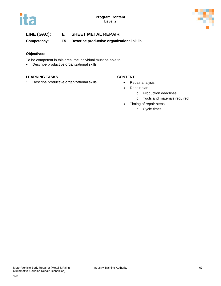



**Competency: E5 Describe productive organizational skills**

#### **Objectives:**

To be competent in this area, the individual must be able to:

• Describe productive organizational skills.

### **LEARNING TASKS CONTENT**

1. Describe productive organizational skills. • Repair analysis

- 
- Repair plan
	- o Production deadlines
	- o Tools and materials required
- Timing of repair steps
	- o Cycle times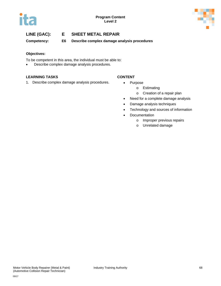

**Competency: E6 Describe complex damage analysis procedures** 

### **Objectives:**

To be competent in this area, the individual must be able to:

• Describe complex damage analysis procedures.

### **LEARNING TASKS CONTENT**

1. Describe complex damage analysis procedures. • Purpose

- - o Estimating
	- o Creation of a repair plan
- Need for a complete damage analysis
- Damage analysis techniques
- Technology and sources of information
- Documentation
	- o Improper previous repairs
	- o Unrelated damage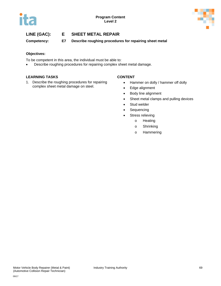

**Competency: E7 Describe roughing procedures for repairing sheet metal** 

### **Objectives:**

- To be competent in this area, the individual must be able to:
- Describe roughing procedures for repairing complex sheet metal damage.

#### **LEARNING TASKS CONTENT**

1. Describe the roughing procedures for repairing complex sheet metal damage on steel.

- Hammer on dolly / hammer off dolly
- Edge alignment
- Body line alignment
- Sheet metal clamps and pulling devices
- Stud welder
- Sequencing
- Stress relieving
	- o Heating
	- o Shrinking
	- o Hammering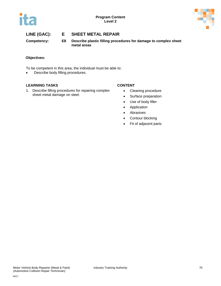



**Competency: E8 Describe plastic filling procedures for damage to complex sheet metal areas**

### **Objectives:**

To be competent in this area, the individual must be able to:

• Describe body filling procedures.

### **LEARNING TASKS CONTENT**

1. Describe filling procedures for repairing complex sheet metal damage on steel.

- Cleaning procedure
- Surface preparation
- Use of body filler
- Application
- Abrasives
- Contour blocking
- Fit of adjacent parts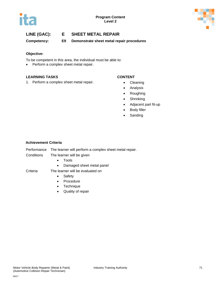



# **LINE (GAC): E SHEET METAL REPAIR**

**Competency: E9 Demonstrate sheet metal repair procedures**

### **Objective:**

To be competent in this area, the individual must be able to:

• Perform a complex sheet metal repair.

### **LEARNING TASKS CONTENT**

1. Perform a complex sheet metal repair. • Cleaning

- 
- Analysis
- Roughing
- Shrinking
- Adjacent part fit-up
- Body filler
- Sanding

#### **Achievement Criteria**

|  | Performance The learner will perform a complex sheet metal repair. |  |  |  |  |
|--|--------------------------------------------------------------------|--|--|--|--|
|--|--------------------------------------------------------------------|--|--|--|--|

- Conditions The learner will be given
	- Tools
	- Damaged sheet metal panel
- Criteria The learner will be evaluated on
	- Safety
	- Procedure
	- Technique
	- Quality of repair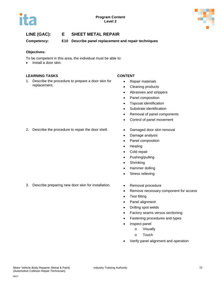

# **LINE (GAC): E SHEET METAL REPAIR**

**Competency: E10 Describe panel replacement and repair techniques**

### **Objectives:**

To be competent in this area, the individual must be able to:

• Install a door skin.

### **LEARNING TASKS CONTENT**

1. Describe the procedure to prepare a door skin for replacement.

- Repair materials
- Cleaning products
- Abrasives and strippers
- Panel composition
- Topcoat identification
- Substrate identification
- Removal of panel components
- Control of panel movement
- 2. Describe the procedure to repair the door shell. Damaged door skin removal
	-
	- Damage analysis
	- Panel composition
	- Heating
	- Cold repair
	- Pushing/pulling
	- Shrinking
	- Hammer dolling
	- Stress relieving
- 3. Describe preparing new door skin for installation. Removal procedure
	-
	- Remove necessary component for access
	- Test fitting
	- Panel alignment
	- Drilling spot welds
	- Factory seams versus sectioning
	- Fastening procedures and types
	- Inspect panel
		- o Visually
		- o Touch
	- Verify panel alignment and operation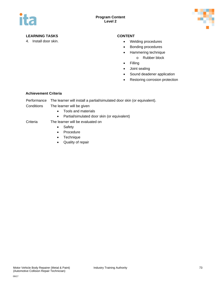

### **LEARNING TASKS CONTENT**

- 4. Install door skin. The contract of the contract of the Welding procedures
	- Bonding procedures
	- Hammering technique
		- o Rubber block
	- Filling
	- Joint sealing
	- Sound deadener application
	- Restoring corrosion protection

### **Achievement Criteria**

Performance The learner will install a partial/simulated door skin (or equivalent).

- Conditions The learner will be given
	- Tools and materials
	- Partial/simulated door skin (or equivalent)

### Criteria The learner will be evaluated on

- Safety
- Procedure
- Technique
- Quality of repair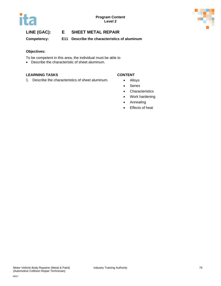



# **LINE (GAC): E SHEET METAL REPAIR**

**Competency: E11 Describe the characteristics of aluminum**

#### **Objectives:**

To be competent in this area, the individual must be able to

• Describe the characteristic of sheet aluminum.

#### **LEARNING TASKS CONTENT**

1. Describe the characteristics of sheet aluminum. • Alloys

- 
- Series
- Characteristics
- Work hardening
- Annealing
- Effects of heat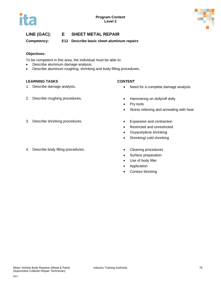

# **LINE (GAC): E SHEET METAL REPAIR**

**Competency: E12 Describe basic sheet aluminum repairs**

### **Objectives:**

To be competent in this area, the individual must be able to:

- Describe aluminum damage analysis.
- Describe aluminum roughing, shrinking and body filling procedures.

### **LEARNING TASKS CONTENT**

- 
- 2. Describe roughing procedures. The Hammering on dolly/off dolly

- 1. Describe damage analysis.  **Need for a complete damage analysis •** Need for a complete damage analysis
	-
	- Pry tools
	- Stress relieving and annealing with heat
- 3. Describe shrinking procedures. Expansion and contraction
- 4. Describe body filling procedures. Cleaning procedures
- 
- Restricted and unrestricted
- Oxyacetylene shrinking
- Shrinking/ cold shrinking
	-
	- Surface preparation
	- Use of body filler
	- Application
	- Contour blocking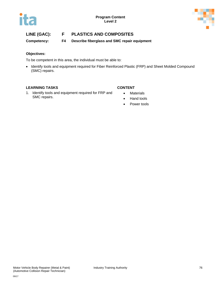

# **LINE (GAC): F PLASTICS AND COMPOSITES**

**Competency: F4 Describe fiberglass and SMC repair equipment**

### **Objectives:**

To be competent in this area, the individual must be able to:

• Identify tools and equipment required for Fiber Reinforced Plastic (FRP) and Sheet Molded Compound (SMC) repairs.

### **LEARNING TASKS CONTENT**

1. Identify tools and equipment required for FRP and SMC repairs.

- Materials
- Hand tools
- Power tools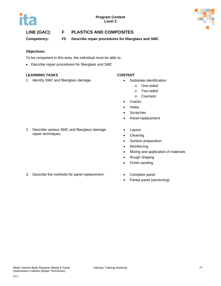



# **LINE (GAC): F PLASTICS AND COMPOSITES**

**Competency: F5 Describe repair procedures for fiberglass and SMC**

### **Objectives:**

To be competent in this area, the individual must be able to:

• Describe repair procedures for fiberglass and SMC

#### **LEARNING TASKS CONTENT**

1. Identify SMC and fiberglass damage. • The Substrate identification

- - o One-sided
	- o Two-sided
	- o Cosmetic
- Cracks
- Holes
- Scratches
- Panel replacement
- 2. Describe various SMC and fiberglass damage repair techniques.
	-
- Layout
- Cleaning
- Surface preparation
- Reinforcing
- Mixing and application of materials
- Rough shaping
- Finish sanding
- 3. Describe the methods for panel replacement. Complete panel
	-
	- Partial panel (sectioning)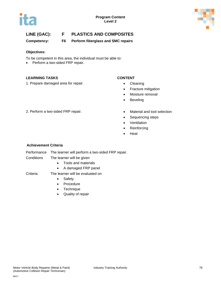



# **LINE (GAC): F PLASTICS AND COMPOSITES**

**Competency: F6 Perform fiberglass and SMC repairs**

#### **Objectives:**

To be competent in this area, the individual must be able to:

• Perform a two-sided FRP repair.

#### **LEARNING TASKS CONTENT**

1. Prepare damaged area for repair. **•** Cleaning

- 
- Fracture mitigation
- Moisture removal
- Beveling
- 2. Perform a two-sided FRP repair. The Material and tool selection
	-
	- Sequencing steps
	- Ventilation
	- Reinforcing
	- Heat

### **Achievement Criteria**

Performance The learner will perform a two-sided FRP repair.

- Conditions The learner will be given
	- Tools and materials
	- A damaged FRP panel
- Criteria The learner will be evaluated on
	- Safety
	- Procedure
	- Technique
	- Quality of repair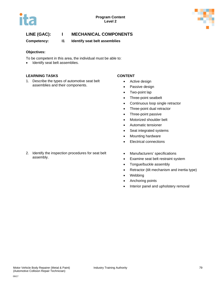



**Competency: I1 Identify seat belt assemblies**

#### **Objectives:**

To be competent in this area, the individual must be able to:

• Identify seat belt assemblies.

### **LEARNING TASKS CONTENT**

1. Describe the types of automotive seat belt assemblies and their components.

- Active design
- Passive design
- Two-point lap
- Three-point seatbelt
- Continuous loop single retractor
- Three-point dual retractor
- Three-point passive
- Motorized shoulder belt
- Automatic tensioner
- Seat integrated systems
- Mounting hardware
- Electrical connections
- Manufacturers' specifications
- Examine seat belt restraint system
- Tongue/buckle assembly
- Retractor (tilt mechanism and inertia type)
- **Webbing**
- Anchoring points
- Interior panel and upholstery removal

#### 2. Identify the inspection procedures for seat belt assembly.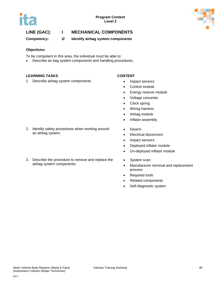



**Competency: I2 Identify airbag system components**

#### **Objectives:**

To be competent in this area, the individual must be able to:

• Describe air bag system components and handling procedures.

#### **LEARNING TASKS CONTENT**

1. Describe airbag system components. • Impact sensors

- 
- Control module
- Energy reserve module
- Voltage converter
- Clock spring
- Wiring harness
- Airbag module
- Inflator assembly
- Disarm
- Electrical disconnect
- Impact sensors
- Deployed inflator module
- Un-deployed inflator module
- System scan
- Manufacturer removal and replacement process
- Required tools
- Related components
- Self-diagnostic system

#### 2. Identify safety procedures when working around an airbag system.

3. Describe the procedure to remove and replace the airbag system components.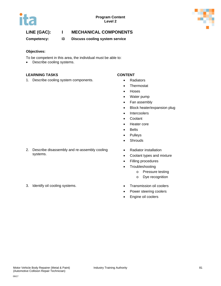



**Competency: I3 Discuss cooling system service**

#### **Objectives:**

To be competent in this area, the individual must be able to:

• Describe cooling systems.

### **LEARNING TASKS CONTENT**

1. Describe cooling system components. • Radiators

- 
- Thermostat
- Hoses
- Water pump
- Fan assembly
- Block heater/expansion plug
- Intercoolers
- Coolant
- Heater core
- Belts
- Pulleys
- Shrouds
- Radiator installation
- Coolant types and mixture
- Filling procedures
- Troubleshooting
	- o Pressure testing
	- o Dye recognition
- 
- Power steering coolers
- Engine oil coolers
- 2. Describe disassembly and re-assembly cooling systems.
- 3. Identify oil cooling systems. Transmission oil coolers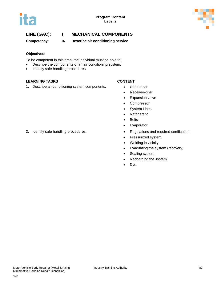



**Competency: I4 Describe air conditioning service**

### **Objectives:**

To be competent in this area, the individual must be able to:

- Describe the components of an air conditioning system.
- Identify safe handling procedures.

### **LEARNING TASKS CONTENT**

1. Describe air conditioning system components. • Condenser

- 
- Receiver-drier
- Expansion valve
- Compressor
- System Lines
- Refrigerant
- Belts
- Evaporator
- 2. Identify safe handling procedures. Regulations and required certification
	- Pressurized system
	- Welding in vicinity
	- Evacuating the system (recovery)
	- Sealing system
	- Recharging the system
	- Dye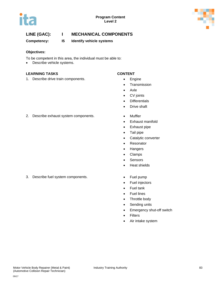



**Competency: I5 Identify vehicle systems**

#### **Objectives:**

To be competent in this area, the individual must be able to:

• Describe vehicle systems.

#### **LEARNING TASKS CONTENT**

1. Describe drive train components. **•** Engine

- 
- Transmission
- Axle
- CV joints
- Differentials
- Drive shaft
- 2. Describe exhaust system components. Muffler
	- Exhaust manifold
	- Exhaust pipe
	- Tail pipe
	- Catalytic converter
	- Resonator
	- Hangers
	- Clamps
	- Sensors
	- Heat shields
- 3. Describe fuel system components. **•** Fuel pump
	-
	- Fuel injectors
	- Fuel tank
	- Fuel lines
	- Throttle body
	- Sending units
	- Emergency shut-off switch
	- **Filters**
	- Air intake system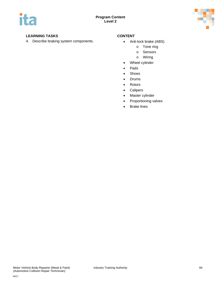

### **LEARNING TASKS CONTENT**

4. Describe braking system components. • Anti-lock brake (ABS)

- - o Tone ring
	- o Sensors
	- o Wiring
- Wheel cylinder
- Pads
- Shoes
- Drums
- Rotors
- Calipers
- Master cylinder
- Proportioning valves
- Brake lines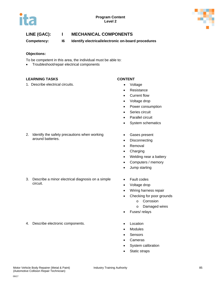



**Competency: I6 Identify electrical/electronic on-board procedures**

### **Objections:**

To be competent in this area, the individual must be able to:

• Troubleshoot/repair electrical components

### **LEARNING TASKS CONTENT**

1. Describe electrical circuits. **•** Voltage

- 
- Resistance
- Current flow
- Voltage drop
- Power consumption
- Series circuit
- Parallel circuit
- System schematics
- 2. Identify the safety precautions when working around batteries.

3. Describe a minor electrical diagnosis on a simple circuit.

- Gases present
- Disconnecting
- Removal
- Charging
- Welding near a battery
- Computers / memory
- Jump starting
- Fault codes
- Voltage drop
	- Wiring harness repair
- Checking for poor grounds
	- o Corrosion
		- o Damaged wires
- Fuses/ relays
- 4. Describe electronic components. Cocation
- - Modules
	- Sensors
	- **Cameras**
	- System calibration
	- Static straps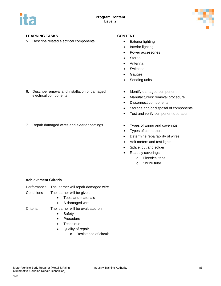

### **LEARNING TASKS CONTENT**

5. Describe related electrical components. • Exterior lighting

6. Describe removal and installation of damaged electrical components.

- 
- Interior lighting
- Power accessories
- **Stereo**
- Antenna
- Switches
- **Gauges**
- Sending units
- Identify damaged component
- Manufacturers' removal procedure
- Disconnect components
- Storage and/or disposal of components
- Test and verify component operation
- 7. Repair damaged wires and exterior coatings. Types of wiring and coverings
	-
	- Types of connectors
	- Determine repairability of wires
	- Volt meters and test lights
	- Splice, cut and solder
	- Reapply coverings
		- o Electrical tape
		- o Shrink tube

### **Achievement Criteria**

Performance The learner will repair damaged wire.

- Conditions The learner will be given
	- Tools and materials
	- A damaged wire

- Criteria The learner will be evaluated on • Safety
	- Procedure
	- Technique
	-
	- Quality of repair
		- o Resistance of circuit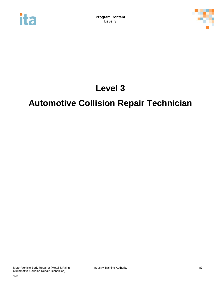



# **Level 3**

# **Automotive Collision Repair Technician**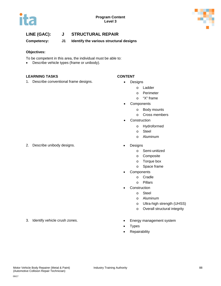



**Competency: J1 Identify the various structural designs**

#### **Objectives:**

To be competent in this area, the individual must be able to:

• Describe vehicle types (frame or unibody).

#### **LEARNING TASKS CONTENT**

1. Describe conventional frame designs. • Designs

- - o Ladder
		- o Perimeter
		- o "X" frame
	- **Components** 
		- o Body mounts
		- o Cross members
	- **Construction** 
		- o Hydroformed
		- o Steel
		- o Aluminum
- 2. Describe unibody designs. **•** Designs
	- o Semi-unitized
	- o Composite
	- o Torque box
	- o Space frame
	- **Components** 
		- o Cradle
		- o Pillars
	- **Construction** 
		- o Steel
		- o Aluminum
		- o Ultra-high strength (UHSS)
		- o Overall structural integrity
	-
	- **Types**
	- Repairability
- 3. Identify vehicle crush zones. The Finergy management system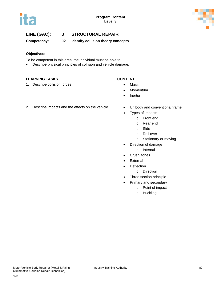



**Competency: J2 Identify collision theory concepts**

### **Objectives:**

To be competent in this area, the individual must be able to:

• Describe physical principles of collision and vehicle damage.

### **LEARNING TASKS CONTENT**

1. Describe collision forces. • The Mass

- 
- Momentum
- Inertia
- 2. Describe impacts and the effects on the vehicle. Unibody and conventional frame
	-
	- Types of impacts
		- o Front end
		- o Rear end
		- o Side
		- o Roll over
		- o Stationary or moving
	- Direction of damage
		- o Internal
	- Crush zones
	- External
	- Deflection
		- o Direction
	- Three section principle
	- Primary and secondary
		- o Point of impact
		- o Buckling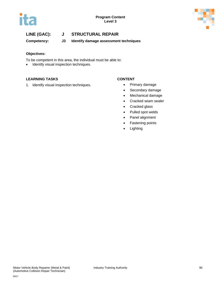



**Competency: J3 Identify damage assessment techniques**

### **Objectives:**

To be competent in this area, the individual must be able to:

• Identify visual inspection techniques.

#### **LEARNING TASKS CONTENT**

1. Identify visual inspection techniques. • Primary damage

- 
- Secondary damage
- Mechanical damage
- Cracked seam sealer
- Cracked glass
- Pulled spot welds
- Panel alignment
- Fastening points
- Lighting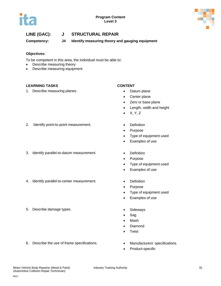



**Competency: J4 Identify measuring theory and gauging equipment**

### **Objectives:**

To be competent in this area, the individual must be able to:

- Describe measuring theory
- Describe measuring equipment

#### **LEARNING TASKS CONTENT**

1. Describe measuring planes. **•** Datum plane

- 
- Center plane
- Zero or base plane
- Length, width and height
- $\bullet$  X, Y, Z
- 2. Identify point-to-point measurement. Definition
- 
- 3. Identify parallel-to-datum measurement. Definition
- 4. Identify parallel-to-center measurement. Definition
- 5. Describe damage types. Sideways

6. Describe the use of frame specifications. • Manufacturers' specifications

- 
- Purpose
- Type of equipment used
- Examples of use
- 
- Purpose
- Type of equipment used
- Examples of use
- 
- Purpose
- Type of equipment used
- Examples of use
- 
- Sag
- Mash
- Diamond
- **Twist**
- 
- Product-specific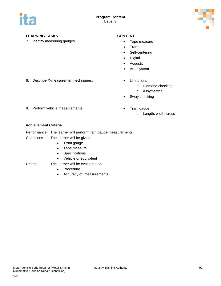

### **LEARNING TASKS CONTENT**

7. Identify measuring gauges. **• Tape measure** • Tape measure

- 
- Tram
- Self-centering
- Digital
- Acoustic
- Arm system
- 8. Describe X-measurement techniques. Limitations
	- - o Diamond checking
		- o Assymetrical
	- Sway checking
- 9. Perform vehicle measurements. Tram gauge
	- - o Length, width, cross

### **Achievement Criteria**

- Performance The learner will perform tram gauge measurements.
- Conditions The learner will be given
	- Tram gauge
	- Tape measure
	- Specifications
	- Vehicle or equivalent
- Criteria The learner will be evaluated on
	- Procedure
	- Accuracy of measurements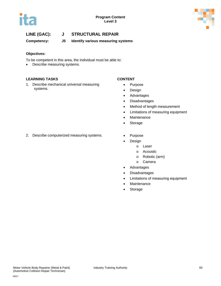



**Competency: J5 Identify various measuring systems**

### **Objectives:**

To be competent in this area, the individual must be able to:

• Describe measuring systems.

### **LEARNING TASKS CONTENT**

1. Describe mechanical universal measuring systems.

- Purpose
- Design
- Advantages
- Disadvantages
- Method of length measurement
- Limitations of measuring equipment
- Maintenance
- Storage
- 2. Describe computerized measuring systems. Purpose
	-
	- **Design** 
		- o Laser
		- o Acoustic
		- o Robotic (arm)
		- o Camera
	- Advantages
	- Disadvantages
	- Limitations of measuring equipment
	- Maintenance
	- Storage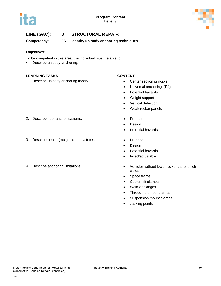



**Competency: J6 Identify unibody anchoring techniques**

### **Objectives:**

To be competent in this area, the individual must be able to:

• Describe unibody anchoring.

### **LEARNING TASKS CONTENT**

1. Describe unibody anchoring theory. **•** Center section principle

- 
- Universal anchoring (P4)
- Potential hazards
- Weight support
- Vertical defection
- Weak rocker panels
- 
- Design
- Potential hazards
- 
- Design
- Potential hazards
- Fixed/adjustable
- 4. Describe anchoring limitations. **•** Vehicles without lower rocker panel pinch welds
	- Space frame
	- Custom fit clamps
	- Weld-on flanges
	- Through-the-floor clamps
	- Suspension mount clamps
	- Jacking points
- 2. Describe floor anchor systems. • Purpose
- 3. Describe bench (rack) anchor systems. Purpose
-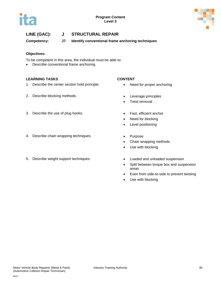



**Competency: J7 Identify conventional frame anchoring techniques**

### **Objectives:**

To be competent in this area, the individual must be able to:

• Describe conventional frame anchoring.

### **LEARNING TASKS CONTENT**

- 1. Describe the center section hold principle. Need for proper anchoring
- 2. Describe blocking methods. **•** Leverage principles

- 
- 
- Twist removal
- 3. Describe the use of plug hooks. Fast, efficient anchor
	- Need for blocking
	- Level positioning
	-
	- Chain wrapping methods
	- Use with blocking
	-
	- Split between torque box and suspension areas
	- Even from side-to-side to prevent twisting
	- Use with blocking

- 4. Describe chain wrapping techniques. • Purpose
- 5. Describe weight support techniques. Loaded and unloaded suspension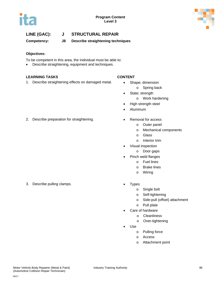



**Competency: J8 Describe straightening techniques**

### **Objectives:**

To be competent in this area, the individual must be able to:

• Describe straightening, equipment and techniques.

#### **LEARNING TASKS CONTENT**

1. Describe straightening effects on damaged metal. • Shape; dimension

- - o Spring back
- State; strength
	- o Work hardening
- High strength steel
- Aluminum
- 2. Describe preparation for straightening. The Removal for access
	- o Outer panel
		- o Mechanical components
		- o Glass
		- o Interior trim
	- Visual inspection
		- o Door gaps
	- Pinch weld flanges
		- o Fuel lines
		- o Brake lines
		- o Wiring
	- - o Single bolt
		- o Self-tightening
		- o Side-pull (offset) attachment
		- o Pull plate
		- Care of hardware
			- o Cleanliness
			- o Over-tightening
	- Use
		- o Pulling force
		- o Access
		- o Attachment point

09/17

3. Describe pulling clamps. • Types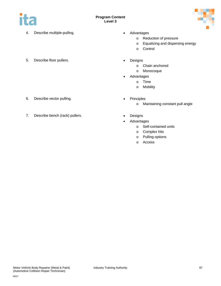

- 4. Describe multiple-pulling. **•** Advantages
- 5. Describe floor pullers. **•** Designs
- - o Reduction of pressure
	- o Equalizing and dispersing energy
	- o Control
	- - o Chain anchored
		- o Monocoque
		- **Advantages** 
			- o Time
				- o Mobility
- 6. Describe vector pulling. **•** Principles
- 7. Describe bench (rack) pullers. Designs
- - o Maintaining constant pull angle
	-
	- Advantages
		- o Self-contained units
		- o Complex hits
		- o Pulling options
		- o Access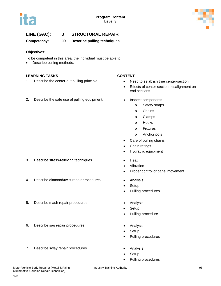



**Competency: J9 Describe pulling techniques**

### **Objectives:**

To be competent in this area, the individual must be able to:

• Describe pulling methods.

### **LEARNING TASKS CONTENT**

- 1. Describe the center-out pulling principle. Need to establish true center-section
- 2. Describe the safe use of pulling equipment. Inspect components

- 
- Effects of center-section misalignment on end sections
	- - o Safety straps
			- o Chains
		- o Clamps
		- o Hooks
		- o Fixtures
		- o Anchor pots
- Care of pulling chains
- Chain ratings
- Hydraulic equipment
- 3. Describe stress-relieving techniques. • Heat
	- Vibration
	- Proper control of panel movement
	-
	- Setup
	- Pulling procedures
	-
	- **Setup**
	- Pulling procedure
- 6. Describe sag repair procedures. Analysis
	- Setup
	- Pulling procedures
- 7. Describe sway repair procedures. **•** Analysis
	- **Setup**
	- Pulling procedures

- 4. Describe diamond/twist repair procedures. Analysis
	- 5. Describe mash repair procedures. The Analysis
	-
	-
	-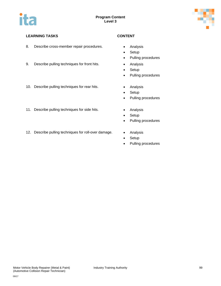

### **LEARNING TASKS CONTENT**

- 8. Describe cross-member repair procedures. Analysis
- 9. Describe pulling techniques for front hits. Analysis
- 10. Describe pulling techniques for rear hits. Analysis
- 11. Describe pulling techniques for side hits. Analysis
- 12. Describe pulling techniques for roll-over damage. Analysis

- 
- Setup
- Pulling procedures
- 
- Setup
- Pulling procedures
- 
- Setup
- Pulling procedures
- 
- Setup
- Pulling procedures
- 
- Setup
- Pulling procedures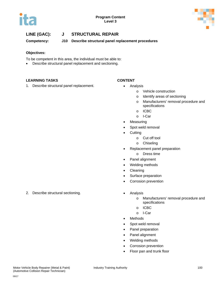



**Competency: J10 Describe structural panel replacement procedures**

#### **Objectives:**

- To be competent in this area, the individual must be able to:
- Describe structural panel replacement and sectioning.

### **LEARNING TASKS CONTENT**

1. Describe structural panel replacement. • Analysis

- - o Vehicle construction
	- o Identify areas of sectioning
	- o Manufacturers' removal procedure and specifications
	- o ICBC
	- o I-Car
- **Measuring**
- Spot weld removal
- **Cutting** 
	- o Cut off tool
	- o Chiseling
- Replacement panel preparation
	- o Dress time
- Panel alignment
- Welding methods
- Cleaning
- Surface preparation
- Corrosion prevention
- - o Manufacturers' removal procedure and specifications
	- o ICBC
	- o I-Car
- Methods
- Spot weld removal
- Panel preparation
- Panel alignment
- Welding methods
- Corrosion prevention
- Floor pan and trunk floor

2. Describe structural sectioning. **•** Analysis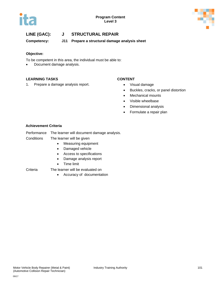



**Competency: J11 Prepare a structural damage analysis sheet**

### **Objective:**

To be competent in this area, the individual must be able to:

• Document damage analysis.

### **LEARNING TASKS CONTENT**

1. Prepare a damage analysis report. **•** Visual damage

- 
- Buckles, cracks, or panel distortion
- Mechanical mounts
- Visible wheelbase
- Dimensional analysis
- Formulate a repair plan

#### **Achievement Criteria**

- Performance The learner will document damage analysis.
- Conditions The learner will be given
	- Measuring equipment
	- Damaged vehicle
	- Access to specifications
	- Damage analysis report
	- Time limit
- Criteria The learner will be evaluated on
	- Accuracy of documentation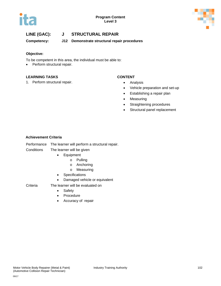



**Competency: J12 Demonstrate structural repair procedures**

### **Objective:**

To be competent in this area, the individual must be able to:

• Perform structural repair.

#### **LEARNING TASKS CONTENT**

1. Perform structural repair. **•** Analysis

- 
- Vehicle preparation and set-up
- Establishing a repair plan
- Measuring
- Straightening procedures
- Structural panel replacement

### **Achievement Criteria**

| Performance | The learner will perform a structural repair. |
|-------------|-----------------------------------------------|
|-------------|-----------------------------------------------|

#### Conditions The learner will be given

- Equipment
	- o Pulling
	- o Anchoring
	- o Measuring
- Specifications
- Damaged vehicle or equivalent

- Criteria The learner will be evaluated on
	- Safety
	- Procedure
	- Accuracy of repair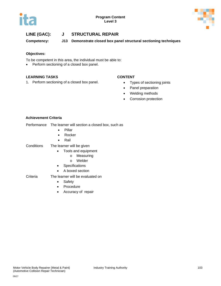

**Competency: J13 Demonstrate closed box panel structural sectioning techniques**

### **Objectives:**

To be competent in this area, the individual must be able to:

• Perform sectioning of a closed box panel.

### **LEARNING TASKS CONTENT**

1. Perform sectioning of a closed box panel. • Types of sectioning joints

- 
- Panel preparation
- Welding methods
- Corrosion protection

### **Achievement Criteria**

|  | Performance The learner will section a closed box, such as |
|--|------------------------------------------------------------|
|--|------------------------------------------------------------|

- Pillar
- Rocker
- Rail
- Conditions The learner will be given
	- Tools and equipment
		- o Measuring
		- o Welder
	- Specifications
	- A boxed section
- Criteria The learner will be evaluated on
	- Safety
	- Procedure
	- Accuracy of repair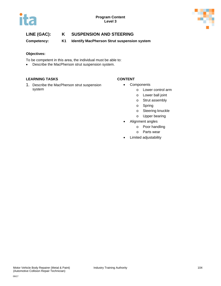

# **LINE (GAC): K SUSPENSION AND STEERING**

**Competency: K1 Identify MacPherson Strut suspension system**

### **Objectives:**

To be competent in this area, the individual must be able to:

• Describe the MacPherson strut suspension system.

### **LEARNING TASKS CONTENT**

1. Describe the MacPherson strut suspension system

- Components
	- o Lower control arm
	- o Lower ball joint
	- o Strut assembly
	- o Spring
	- o Steering knuckle
	- o Upper bearing
- Alignment angles
	- o Poor handling
	- o Parts wear
- Limited adjustability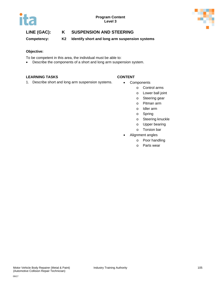



# **LINE (GAC): K SUSPENSION AND STEERING**

**Competency: K2 Identify short and long arm suspension systems**

#### **Objective:**

To be competent in this area, the individual must be able to:

• Describe the components of a short and long arm suspension system.

#### **LEARNING TASKS CONTENT**

1. Describe short and long arm suspension systems. • Components

- - o Control arms
	- o Lower ball joint
	- o Steering gear
	- o Pitman arm
	- o Idler arm
	- o Spring
	- o Steering knuckle
	- o Upper bearing
	- o Torsion bar
- Alignment angles
	- o Poor handling
	- o Parts wear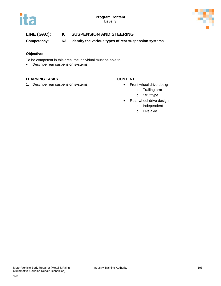



# **LINE (GAC): K SUSPENSION AND STEERING**

**Competency: K3 Identify the various types of rear suspension systems**

### **Objective:**

To be competent in this area, the individual must be able to:

• Describe rear suspension systems.

#### **LEARNING TASKS CONTENT**

1. Describe rear suspension systems. **•** Front wheel drive design

- - o Trailing arm
	- o Strut type
- Rear wheel drive design
	- o Independent
	- o Live axle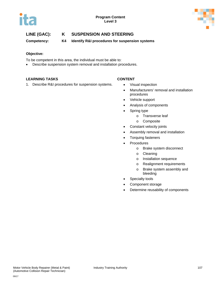

**Competency: K4 Identify R&I procedures for suspension systems**

#### **Objective:**

- To be competent in this area, the individual must be able to:
- Describe suspension system removal and installation procedures.

### **LEARNING TASKS CONTENT**

1. Describe R&I procedures for suspension systems. • Visual inspection

- 
- Manufacturers' removal and installation procedures
- Vehicle support
- Analysis of components
- Spring type
	- o Transverse leaf
	- o Composite
- Constant velocity joints
- Assembly removal and installation
- Torquing fasteners
- **Procedures** 
	- o Brake system disconnect
	- o Cleaning
	- o Installation sequence
	- o Realignment requirements
	- o Brake system assembly and bleeding
- Specialty tools
- Component storage
- Determine reusability of components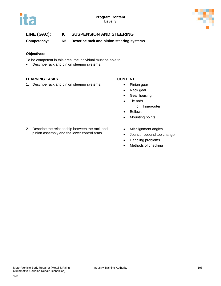



**Competency: K5 Describe rack and pinion steering systems**

#### **Objectives:**

To be competent in this area, the individual must be able to:

• Describe rack and pinion steering systems.

#### **LEARNING TASKS CONTENT**

1. Describe rack and pinion steering systems. • Pinion gear

- 
- Rack gear
- Gear housing
- Tie rods
	- o Inner/outer
- Bellows
- Mounting points
- 2. Describe the relationship between the rack and pinion assembly and the lower control arms.
- Misalignment angles
- Jounce rebound toe change
- Handling problems
- Methods of checking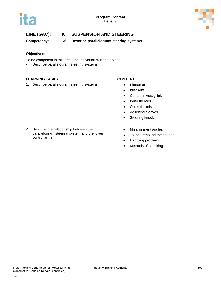



**Competency: K6 Describe parallelogram steering systems**

#### **Objectives:**

To be competent in this area, the individual must be able to:

• Describe parallelogram steering systems.

### **LEARNING TASKS CONTENT**

1. Describe parallelogram steering systems. • Pitman arm

- 
- Idler arm
- Center link/drag link
- Inner tie rods
- Outer tie rods
- Adjusting sleeves
- Steering knuckle
- 2. Describe the relationship between the parallelogram steering system and the lower control arms.
- Misalignment angles
- Jounce rebound toe change
- Handling problems
- Methods of checking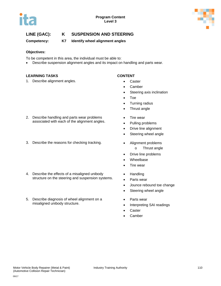

**Competency: K7 Identify wheel alignment angles**

### **Objectives:**

To be competent in this area, the individual must be able to:

• Describe suspension alignment angles and its impact on handling and parts wear.

### **LEARNING TASKS CONTENT**

1. Describe alignment angles. • Caster

- 
- Camber
- Steering axis inclination
- Toe
- Turning radius
- Thrust angle
- Tire wear
- Pulling problems
- Drive line alignment
- Steering wheel angle
- o Thrust angle
- Drive line problems
- Wheelbase
- Tire wear
- Handling
- Parts wear
- Jounce rebound toe change
- Steering wheel angle
- Parts wear
- Interpreting SAI readings
- **Caster**
- Camber
- 2. Describe handling and parts wear problems associated with each of the alignment angles.
- 3. Describe the reasons for checking tracking. The Alignment problems
- 4. Describe the effects of a misaligned unibody structure on the steering and suspension systems.
- 5. Describe diagnosis of wheel alignment on a misaligned unibody structure.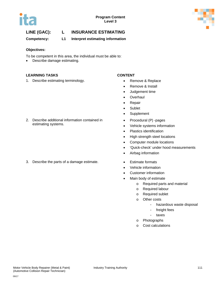



## **LINE (GAC): L INSURANCE ESTIMATING**

**Competency: L1 Interpret estimating information** 

#### **Objectives:**

To be competent in this area, the individual must be able to:

• Describe damage estimating.

### **LEARNING TASKS CONTENT**

1. Describe estimating terminology. **• Remove & Replace** 

- 
- Remove & Install
- Judgement time
- Overhaul
- Repair
- Sublet
- Supplement
- Procedural (P) -pages
- Vehicle systems information
- Plastics identification
- High strength steel locations
- Computer module locations
- 'Quick-check' under hood measurements
- Airbag information
- 
- Vehicle information
- Customer information
- Main body of estimate
	- o Required parts and material
	- o Required labour
	- o Required sublet
	- o Other costs
		- hazardous waste disposal
		- freight fees
		- taxes
	- o Photographs
	- o Cost calculations

2. Describe additional information contained in estimating systems.

3. Describe the parts of a damage estimate. • Estimate formats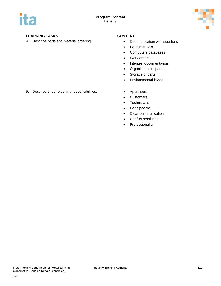

## **LEARNING TASKS CONTENT**

4. Describe parts and material ordering. **•** Communication with suppliers

- 
- Parts manuals
- Computers databases
- Work orders
- Interpret documentation
- Organization of parts
- Storage of parts
- Environmental levies
- - Customers
	- Technicians
	- Parts people
	- Clear communication
	- Conflict resolution
	- Professionalism

5. Describe shop roles and responsibilities. • Appraisers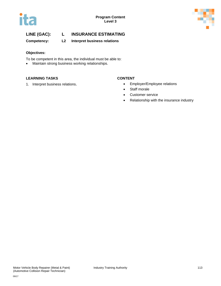



## **LINE (GAC): L INSURANCE ESTIMATING**

**Competency: L2 Interpret business relations** 

### **Objectives:**

- To be competent in this area, the individual must be able to:
- Maintain strong business working relationships.

#### **LEARNING TASKS CONTENT**

- 1. Interpret business relations. <br> **1.** Interpret business relations.<br> **1.** Interpret business relations.
	- Staff morale
	- Customer service
	- Relationship with the insurance industry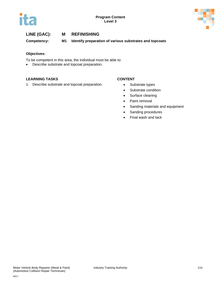



**Competency: M1 Identify preparation of various substrates and topcoats**

#### **Objectives:**

To be competent in this area, the individual must be able to:

• Describe substrate and topcoat preparation.

#### **LEARNING TASKS CONTENT**

1. Describe substrate and topcoat preparation. • Substrate types

- 
- Substrate condition
- Surface cleaning
- Paint removal
- Sanding materials and equipment
- Sanding procedures
- Final wash and tack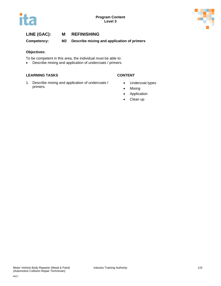



**Competency: M2 Describe mixing and application of primers**

#### **Objectives:**

To be competent in this area, the individual must be able to:

• Describe mixing and application of undercoats / primers.

### **LEARNING TASKS CONTENT**

1. Describe mixing and application of undercoats / primers.

- Undercoat types
- Mixing
- Application
- Clean up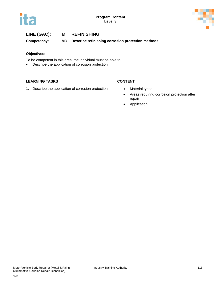



**Competency: M3 Describe refinishing corrosion protection methods**

#### **Objectives:**

To be competent in this area, the individual must be able to:

• Describe the application of corrosion protection.

### **LEARNING TASKS CONTENT**

1. Describe the application of corrosion protection. • Material types

- 
- Areas requiring corrosion protection after repair
- Application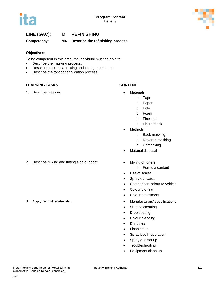



## **LINE (GAC): M REFINISHING Competency: M4 Describe the refinishing process**

#### **Objectives:**

To be competent in this area, the individual must be able to:

- Describe the masking process.
- Describe colour coat mixing and tinting procedures.
- Describe the topcoat application process.

#### **LEARNING TASKS CONTENT**

1. Describe masking. **• Container and Solution Container and Solution • Materials** 

- - o Tape
	- o Paper
	- o Poly
	- o Foam
	- o Fine line
	- o Liquid mask
- **Methods** 
	- o Back masking
	- o Reverse masking
	- o Unmasking
- **Material disposal**
- 2. Describe mixing and tinting a colour coat. Mixing of toners
	- o Formula content
	- Use of scales
	- Spray out cards
	- Comparison colour to vehicle
	- Colour plotting
	- Colour adjustment
- 3. Apply refinish materials. Manufacturers' specifications
	- Surface cleaning
	- Drop coating
	- Colour blending
	- Dry times
	- Flash times
	- Spray booth operation
	- Spray gun set up
	- Troubleshooting
	- Equipment clean up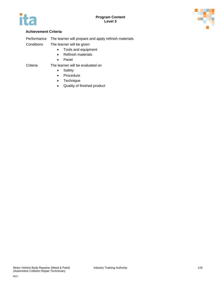



### **Achievement Criteria**

Performance The learner will prepare and apply refinish materials.

Conditions The learner will be given

- Tools and equipment
- Refinish materials
- Panel

- Criteria The learner will be evaluated on
	- Safety
	- Procedure
	- Technique
	- Quality of finished product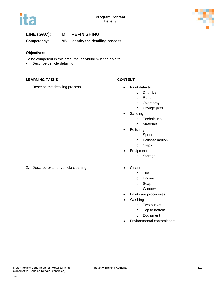



**Competency: M5 Identify the detailing process**

### **Objectives:**

- To be competent in this area, the individual must be able to:
- Describe vehicle detailing.

### **LEARNING TASKS CONTENT**

1. Describe the detailing process. **•** Paint defects

- - o Dirt nibs
		- o Runs
		- o Overspray
		- o Orange peel
- Sanding
	- o Techniques
	- o Materials
	- Polishing
		- o Speed
		- o Polisher motion
		- o Steps
- Equipment
	- o Storage
- 2. Describe exterior vehicle cleaning.  **Cleaners** Cleaners
	- o Tire
	- o Engine
	- o Soap
	- o Window
	- Paint care procedures
	- Washing
		- o Two bucket
		- o Top to bottom
		- o Equipment
	- Environmental contaminants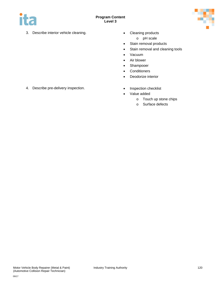



- 3. Describe interior vehicle cleaning. Cleaning products
	- - o pH scale
	- Stain removal products
	- Stain removal and cleaning tools
	- Vacuum
	- Air blower
	- Shampooer
	- Conditioners
	- Deodorize interior
- 4. Describe pre-delivery inspection. <br>
Inspection checklist
	-
	- Value added
		- o Touch up stone chips
		- o Surface defects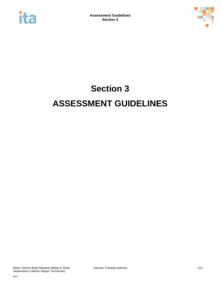



# **Section 3 ASSESSMENT GUIDELINES**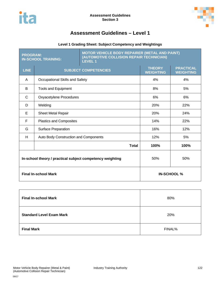

# **Assessment Guidelines – Level 1**

## **Level 1 Grading Sheet: Subject Competency and Weightings**

| <b>PROGRAM:</b><br><b>IN-SCHOOL TRAINING:</b>             |                                       | MOTOR VEHICLE BODY REPAIRER (METAL AND PAINT)<br>(AUTOMOTIVE COLLISION REPAIR TECHNICIAN)<br><b>LEVEL 1</b> |                                   |                                      |
|-----------------------------------------------------------|---------------------------------------|-------------------------------------------------------------------------------------------------------------|-----------------------------------|--------------------------------------|
| <b>LINE</b>                                               |                                       | <b>SUBJECT COMPETENCIES</b>                                                                                 | <b>THEORY</b><br><b>WEIGHTING</b> | <b>PRACTICAL</b><br><b>WEIGHTING</b> |
| A                                                         | Occupational Skills and Safety        |                                                                                                             | 4%                                | 4%                                   |
| B                                                         | <b>Tools and Equipment</b>            |                                                                                                             | 8%                                | 5%                                   |
| C                                                         | <b>Oxyacetylene Procedures</b>        |                                                                                                             | 6%                                | 6%                                   |
| D                                                         | Welding                               |                                                                                                             | 20%                               | 22%                                  |
| E                                                         | <b>Sheet Metal Repair</b>             |                                                                                                             | 20%                               | 24%                                  |
| F                                                         | Plastics and Composites               |                                                                                                             | 14%                               | 22%                                  |
| G                                                         | <b>Surface Preparation</b>            |                                                                                                             | 16%                               | 12%                                  |
| H.                                                        | Auto Body Construction and Components |                                                                                                             | 12%                               | 5%                                   |
|                                                           |                                       | <b>Total</b>                                                                                                | 100%                              | 100%                                 |
| In-school theory / practical subject competency weighting |                                       |                                                                                                             | 50%                               | 50%                                  |
| <b>Final In-school Mark</b>                               |                                       |                                                                                                             |                                   | <b>IN-SCHOOL</b> %                   |

| <b>Final In-school Mark</b>     | 80%    |  |
|---------------------------------|--------|--|
| <b>Standard Level Exam Mark</b> | 20%    |  |
| <b>Final Mark</b>               | FINAL% |  |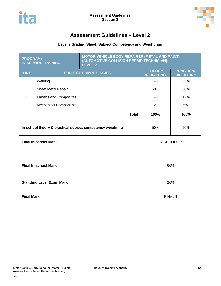



# **Assessment Guidelines – Level 2**

## **Level 2 Grading Sheet: Subject Competency and Weightings**

| <b>PROGRAM:</b><br><b>IN-SCHOOL TRAINING:</b>             |                                | <b>MOTOR VEHICLE BODY REPAIRER (METAL AND PAINT)</b><br>(AUTOMOTIVE COLLISION REPAIR TECHNICIAN)<br><b>LEVEL 2</b> |                                   |                                      |
|-----------------------------------------------------------|--------------------------------|--------------------------------------------------------------------------------------------------------------------|-----------------------------------|--------------------------------------|
| <b>LINE</b>                                               | <b>SUBJECT COMPETENCIES</b>    |                                                                                                                    | <b>THEORY</b><br><b>WEIGHTING</b> | <b>PRACTICAL</b><br><b>WEIGHTING</b> |
| D                                                         | Welding                        |                                                                                                                    | 14%                               | 23%                                  |
| E                                                         | <b>Sheet Metal Repair</b>      |                                                                                                                    | 60%                               | 60%                                  |
| F                                                         | <b>Plastics and Composites</b> |                                                                                                                    | 14%                               | 12%                                  |
|                                                           | <b>Mechanical Components</b>   |                                                                                                                    | 12%                               | 5%                                   |
|                                                           |                                | Total                                                                                                              | <b>100%</b>                       | 100%                                 |
| In-school theory & practical subject competency weighting |                                |                                                                                                                    | 50%                               | 50%                                  |
| <b>Final In-school Mark</b>                               |                                |                                                                                                                    | IN-SCHOOL %                       |                                      |

| <b>Final In-school Mark</b>     | 80%    |  |
|---------------------------------|--------|--|
| <b>Standard Level Exam Mark</b> | 20%    |  |
| <b>Final Mark</b>               | FINAL% |  |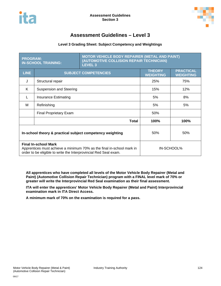



# **Assessment Guidelines – Level 3**

#### **Level 3 Grading Sheet: Subject Competency and Weightings**

| <b>PROGRAM:</b><br><b>IN-SCHOOL TRAINING:</b>                                                                                                                            |                               | <b>MOTOR VEHICLE BODY REPAIRER (METAL AND PAINT)</b><br>(AUTOMOTIVE COLLISION REPAIR TECHNICIAN)<br>LEVEL <sub>3</sub> |                                   |                                      |
|--------------------------------------------------------------------------------------------------------------------------------------------------------------------------|-------------------------------|------------------------------------------------------------------------------------------------------------------------|-----------------------------------|--------------------------------------|
| <b>LINE</b>                                                                                                                                                              | <b>SUBJECT COMPETENCIES</b>   |                                                                                                                        | <b>THEORY</b><br><b>WEIGHTING</b> | <b>PRACTICAL</b><br><b>WEIGHTING</b> |
| J                                                                                                                                                                        | Structural repair             |                                                                                                                        | 25%                               | 75%                                  |
| K                                                                                                                                                                        | Suspension and Steering       |                                                                                                                        | 15%                               | 12%                                  |
| L                                                                                                                                                                        | <b>Insurance Estimating</b>   |                                                                                                                        | 5%                                | 8%                                   |
| м                                                                                                                                                                        | Refinishing                   |                                                                                                                        | 5%                                | 5%                                   |
|                                                                                                                                                                          | <b>Final Proprietary Exam</b> |                                                                                                                        | 50%                               |                                      |
|                                                                                                                                                                          |                               | Total                                                                                                                  | 100%                              | 100%                                 |
| In-school theory & practical subject competency weighting                                                                                                                |                               |                                                                                                                        | 50%                               | 50%                                  |
| <b>Final In-school Mark</b><br>Apprentices must achieve a minimum 70% as the final in-school mark in<br>order to be eligible to write the Interprovincial Red Seal exam. |                               |                                                                                                                        | IN-SCHOOL%                        |                                      |

**All apprentices who have completed all levels of the Motor Vehicle Body Repairer (Metal and Paint) (Automotive Collision Repair Technician) program with a FINAL level mark of 70% or greater will write the Interprovincial Red Seal examination as their final assessment.**

**ITA will enter the apprentices' Motor Vehicle Body Repairer (Metal and Paint) Interprovincial examination mark in ITA Direct Access.** 

**A minimum mark of 70% on the examination is required for a pass.**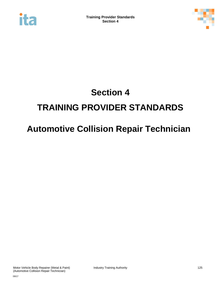



# **Section 4 TRAINING PROVIDER STANDARDS**

# **Automotive Collision Repair Technician**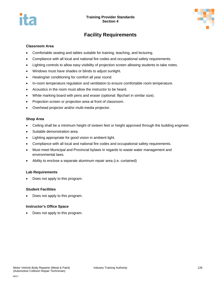



# **Facility Requirements**

#### **Classroom Area**

- Comfortable seating and tables suitable for training, teaching, and lecturing.
- Compliance with all local and national fire codes and occupational safety requirements.
- Lighting controls to allow easy visibility of projection screen allowing students to take notes.
- Windows must have shades or blinds to adjust sunlight.
- Heating/air conditioning for comfort all year round.
- In-room temperature regulation and ventilation to ensure comfortable room temperature.
- Acoustics in the room must allow the instructor to be heard.
- White marking board with pens and eraser (optional: flipchart in similar size).
- Projection screen or projection area at front of classroom.
- Overhead projector and/or multi-media projector.

#### **Shop Area**

- Ceiling shall be a minimum height of sixteen feet or height approved through the building engineer.
- Suitable demonstration area.
- Lighting appropriate for good vision in ambient light.
- Compliance with all local and national fire codes and occupational safety requirements.
- Must meet Municipal and Provincial bylaws in regards to waste water management and environmental laws.
- Ability to enclose a separate aluminum repair area (i.e. curtained)

#### **Lab Requirements**

• Does not apply to this program.

#### **Student Facilities**

• Does not apply to this program.

#### **Instructor's Office Space**

• Does not apply to this program.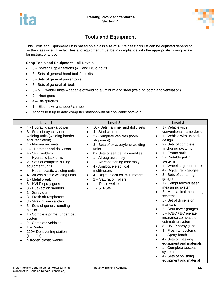



# **Tools and Equipment**

This Tools and Equipment list is based on a class size of 16 trainees; this list can be adjusted depending on the class size. The facilities and equipment must be in compliance with the appropriate zoning bylaw for instructional use.

#### **Shop Tools and Equipment – All Levels**

- 8 Power Supply Stations (AC and DC outputs)
- 8 Sets of general hand tools/tool kits
- 8 Sets of general power tools
- 8 Sets of general air tools
- 8 MIG welder units capable of welding aluminum and steel (welding booth and ventilation)
- $\bullet$  2 Heat guns
- $\bullet$  4 Die grinders
- 1 Electric wire stripper/ crimper
- Access to 8 up to date computer stations with all applicable software

| Level 1                                                                                                                                                                                                                                                                                                                                                                                                                                                                                                                                                                                                                                                                                                                                                         | Level <sub>2</sub>                                                                                                                                                                                                                                                                                                                                                                                                                                                                                         | Level 3                                                                                                                                                                                                                                                                                                                                                                                                                                                                                                                                                                                                                                                                                                                                                                                 |
|-----------------------------------------------------------------------------------------------------------------------------------------------------------------------------------------------------------------------------------------------------------------------------------------------------------------------------------------------------------------------------------------------------------------------------------------------------------------------------------------------------------------------------------------------------------------------------------------------------------------------------------------------------------------------------------------------------------------------------------------------------------------|------------------------------------------------------------------------------------------------------------------------------------------------------------------------------------------------------------------------------------------------------------------------------------------------------------------------------------------------------------------------------------------------------------------------------------------------------------------------------------------------------------|-----------------------------------------------------------------------------------------------------------------------------------------------------------------------------------------------------------------------------------------------------------------------------------------------------------------------------------------------------------------------------------------------------------------------------------------------------------------------------------------------------------------------------------------------------------------------------------------------------------------------------------------------------------------------------------------------------------------------------------------------------------------------------------------|
| 4 - Hydraulic port-a-power<br>$\bullet$<br>8 - Sets of oxyacetylene<br>welding units (welding booths<br>and ventilation)<br>4 - Plasma arc units<br>$\bullet$<br>16 - Hammer and dolly sets<br>4 - Stud welders<br>4 - Hydraulic jack units<br>2 - Sets of complete pulling<br>$\bullet$<br>equipment units<br>4 - Hot air plastic welding units<br>٠<br>4 - Airless plastic welding units<br>1 - Metal break<br>8 - HVLP spray guns<br>8 - Dual-action sanders<br>1 - Spray gun<br>٠<br>8 - Fresh air respirators<br>8 - Straight line sanders<br>8 - Sets of general sanding<br>$\bullet$<br>blocks<br>1 - Complete primer undercoat<br>system<br>2 - Complete vehicles<br>$1 -$ Printer<br>220V Dent pulling station<br>(DentFix)<br>Nitrogen plastic welder | 16 - Sets hammer and dolly sets<br>$\bullet$<br>4 - Stud welders<br>$\bullet$<br>2 - Complete vehicles (body<br>alignment)<br>8 - Sets of oxyacetylene welding<br>units<br>8 - Sets of seatbelt assemblies<br>1 - Airbag assembly<br>$\bullet$<br>1 - Air conditioning assembly<br>$\bullet$<br>4 - Analogue electrical<br>$\bullet$<br>multimeters<br>4 - Digital electrical multimeters<br>$\bullet$<br>2 - Saturation rollers<br>$\bullet$<br>$1 -$ Pulse welder<br>$\bullet$<br>1 - STRSW<br>$\bullet$ | 1 - Vehicle with<br>$\bullet$<br>conventional frame design<br>1 - Vehicle with unibody<br>$\bullet$<br>design<br>2 - Sets of complete<br>anchoring systems<br>1 - Frame rack<br>2 - Portable pulling<br>systems<br>1 - Wheel alignment rack<br>٠<br>4 - Digital tram gauges<br>$\bullet$<br>2 - Sets of centering<br>gauges<br>1 - Computerized laser<br>$\bullet$<br>measuring system<br>2 - Mechanical measuring<br>systems<br>1 - Set of dimension<br>manuals<br>2 - Strut tower gauges<br>1 - ICBC / BC private<br>insurance compatible<br>estimating system<br>8 - HVLP spray guns<br>$\bullet$<br>4 - Fresh air systems<br>1 - Spray booth<br>4 - Sets of masking<br>equipment and materials<br>1 - Complete topcoat<br>system<br>4 - Sets of polishing<br>equipment and material |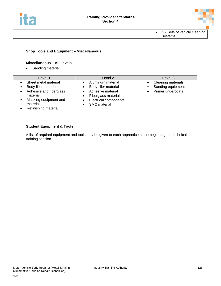



#### **Shop Tools and Equipment – Miscellaneous**

#### **Miscellaneous – All Levels**

• Sanding material

| Level 1                                                                                                                                          | Level 2                                                                                                                                      | Level 3                                                      |
|--------------------------------------------------------------------------------------------------------------------------------------------------|----------------------------------------------------------------------------------------------------------------------------------------------|--------------------------------------------------------------|
| Sheet metal material<br>Body filler material<br>Adhesive and fiberglass<br>material<br>Masking equipment and<br>material<br>Refinishing material | Aluminum material<br>Body filler material<br>Adhesive material<br>Fiberglass material<br><b>Electrical components</b><br><b>SMC</b> material | Cleaning materials<br>Sanding equipment<br>Primer undercoats |

#### **Student Equipment & Tools**

A list of required equipment and tools may be given to each apprentice at the beginning the technical training session.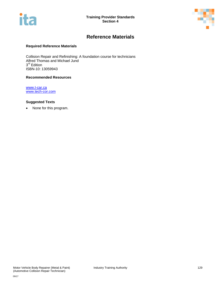



# **Reference Materials**

#### **Required Reference Materials**

Collision Repair and Refinishing: A foundation course for technicians Alfred Thomas and Michael Jund 3<sup>rd</sup> Edition ISBN-10: 13059943

#### **Recommended Resources**

[www.I-car.ca](http://www.i-car.ca/) [www.tech-cor.com](http://www.tech-cor.com/)

#### **Suggested Texts**

• None for this program.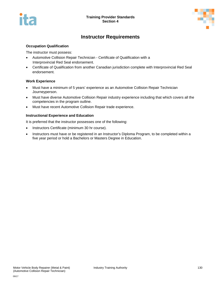



# **Instructor Requirements**

#### **Occupation Qualification**

The instructor must possess:

- Automotive Collision Repair Technician Certificate of Qualification with a Interprovincial Red Seal endorsement.
- Certificate of Qualification from another Canadian jurisdiction complete with Interprovincial Red Seal endorsement.

#### **Work Experience**

- Must have a minimum of 5 years' experience as an Automotive Collision Repair Technician Journeyperson.
- Must have diverse Automotive Collision Repair industry experience including that which covers all the competencies in the program outline.
- Must have recent Automotive Collision Repair trade experience.

#### **Instructional Experience and Education**

It is preferred that the instructor possesses one of the following:

- Instructors Certificate (minimum 30 hr course).
- Instructors must have or be registered in an Instructor's Diploma Program, to be completed within a five year period or hold a Bachelors or Masters Degree in Education.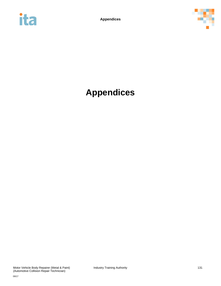



# **Appendices**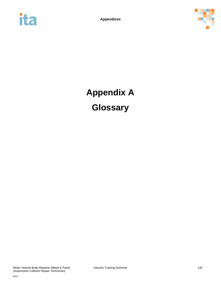



# **Appendix A Glossary**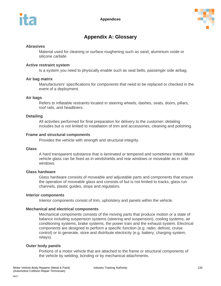

# **Appendix A: Glossary**

### **Abrasives**

Material used for cleaning or surface roughening such as sand, aluminium oxide or silicone carbide.

#### **Active restraint system**

Is a system you need to physically enable such as seat belts, passenger side airbag.

### **Air bag matrix**

Manufacturers' specifications for components that need to be replaced or checked in the event of a deployment.

#### **Air bags**

Refers to inflatable restraints located in steering wheels, dashes, seats, doors, pillars, roof rails, and headliners.

### **Detailing**

All activities performed for final preparation for delivery to the customer; detailing includes but is not limited to installation of trim and accessories, cleaning and polishing.

### **Frame and structural components**

Provides the vehicle with strength and structural integrity.

#### **Glass**

A hard transparent substance that is laminated or tempered and sometimes tinted. Motor vehicle glass can be fixed as in windshields and rear windows or moveable as in side windows.

#### **Glass hardware**

Glass hardware consists of moveable and adjustable parts and components that ensure the operation of moveable glass and consists of but is not limited to tracks, glass run channels, plastic guides, stops and regulators.

#### **Interior components**

Interior components consist of trim, upholstery and panels within the vehicle.

### **Mechanical and electrical components**

Mechanical components consists of the moving parts that produce motion or a state of balance including suspension systems (steering and suspension), cooling systems, air conditioning systems, brake systems, the power train and the exhaust system. Electrical components are designed to perform a specific function (e.g. radio, defrost, cruise control) or to generate, store and distribute electricity (e.g. battery, charging system, relays).

#### **Outer body panels**

Portions of a motor vehicle that are attached to the frame or structural components of the vehicle by welding, bonding or by mechanical attachments.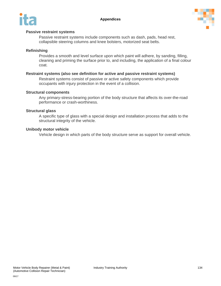



### **Passive restraint systems**

Passive restraint systems include components such as dash, pads, head rest, collapsible steering columns and knee bolsters, motorized seat belts.

### **Refinishing**

Provides a smooth and level surface upon which paint will adhere, by sanding, filling, cleaning and priming the surface prior to, and including, the application of a final colour coat.

### **Restraint systems (also see definition for active and passive restraint systems)**

Restraint systems consist of passive or active safety components which provide occupants with injury protection in the event of a collision.

#### **Structural components**

Any primary-stress-bearing portion of the body structure that affects its over-the-road performance or crash-worthiness.

#### **Structural glass**

A specific type of glass with a special design and installation process that adds to the structural integrity of the vehicle.

#### **Unibody motor vehicle**

Vehicle design in which parts of the body structure serve as support for overall vehicle.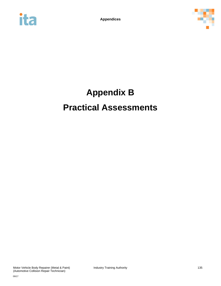



# **Appendix B Practical Assessments**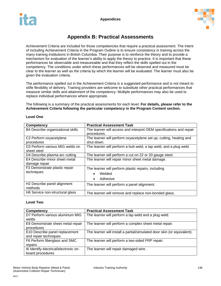



# **Appendix B: Practical Assessments**

Achievement Criteria are included for those competencies that require a practical assessment. The intent of including Achievement Criteria in the Program Outline is to ensure consistency in training across the many training institutions in British Columbia. Their purpose is to reinforce the theory and to provide a mechanism for evaluation of the learner's ability to apply the theory to practice. It is important that these performances be observable and measureable and that they reflect the skills spelled out in the competency. The conditions under which these performances will be observed and measured must be clear to the learner as well as the criteria by which the learner will be evaluated. The learner must also be given the evaluation criteria.

The performance spelled out in the Achievement Criteria is a suggested performance and is not meant to stifle flexibility of delivery. Training providers are welcome to substitute other practical performances that measure similar skills and attainment of the competency. Multiple performances may also be used to replace individual performances where appropriate.

The following is a summary of the practical assessments for each level. **For details, please refer to the Achievement Criteria following the particular competency in the Program Content section.**

| <b>Competency</b>                       | <b>Practical Assessment Task</b>                                    |
|-----------------------------------------|---------------------------------------------------------------------|
| B4 Describe organizational skills       | The learner will access and interpret OEM specifications and repair |
|                                         | procedures.                                                         |
| C2 Perform oxyacetylene                 | The learner will perform oxyacetylene set up, cutting, heating and  |
| procedures                              | shut down.                                                          |
| D3 Perform various MIG welds on         | The learner will perform a butt weld, a lap weld, and a plug weld.  |
| sheet steel                             |                                                                     |
| D4 Describe plasma arc cutting          | The learner will perform a cut on 22 or 20 gauge steel.             |
| E4 Describe minor sheet metal           | The learner will repair minor sheet metal damage.                   |
| damage repair                           |                                                                     |
| F3 Demonstrate plastic repair           | The learner will perform plastic repairs, including                 |
| techniques                              | Welded                                                              |
|                                         | Adhesive<br>٠                                                       |
| H <sub>2</sub> Describe panel alignment | The learner will perform a panel alignment.                         |
| methods                                 |                                                                     |
| H6 Service non-structural glass         | The learner will remove and replace non-bonded glass.               |

#### **Level One**

#### **Level Two**

| <b>Competency</b>                     | <b>Practical Assessment Task</b>                                        |
|---------------------------------------|-------------------------------------------------------------------------|
| D7 Perform various aluminum MIG       | The learner will perform a lap weld and a plug weld.                    |
| welds                                 |                                                                         |
| E9 Demonstrate sheet metal repair     | The learner will perform a complex sheet metal repair.                  |
| procedures                            |                                                                         |
| E10 Describe panel replacement        | The learner will install a partial/simulated door skin (or equivalent). |
| and repair techniques                 |                                                                         |
| F6 Perform fiberglass and SMC         | The learner will perform a two-sided FRP repair.                        |
| repairs                               |                                                                         |
| 16 Identify electrical/electronic on- | The learner will repair damaged wire.                                   |
| board procedures                      |                                                                         |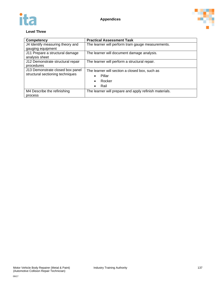



### **Level Three**

| <b>Competency</b>                 | <b>Practical Assessment Task</b>                       |
|-----------------------------------|--------------------------------------------------------|
| J4 Identify measuring theory and  | The learner will perform tram gauge measurements.      |
| gauging equipment                 |                                                        |
| J11 Prepare a structural damage   | The learner will document damage analysis.             |
| analysis sheet                    |                                                        |
| J12 Demonstrate structural repair | The learner will perform a structural repair.          |
| procedures                        |                                                        |
| J13 Demonstrate closed box panel  | The learner will section a closed box, such as         |
| structural sectioning techniques  | Pillar                                                 |
|                                   | Rocker<br>$\bullet$                                    |
|                                   | Rail<br>$\bullet$                                      |
| M4 Describe the refinishing       | The learner will prepare and apply refinish materials. |
| process                           |                                                        |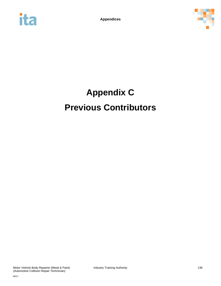



# **Appendix C Previous Contributors**